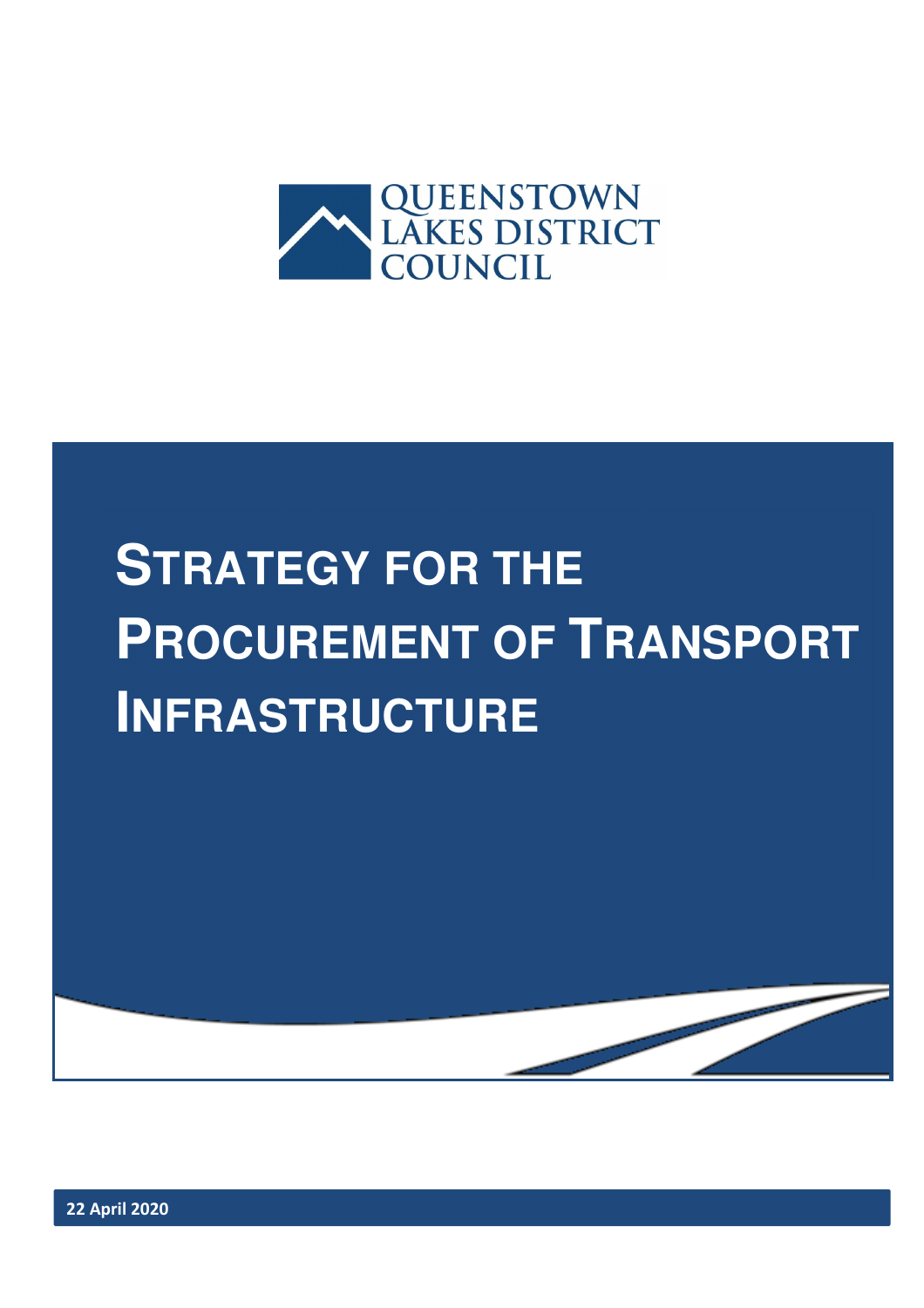

# **STRATEGY FOR THE PROCUREMENT OF TRANSPORT INFRASTRUCTURE**

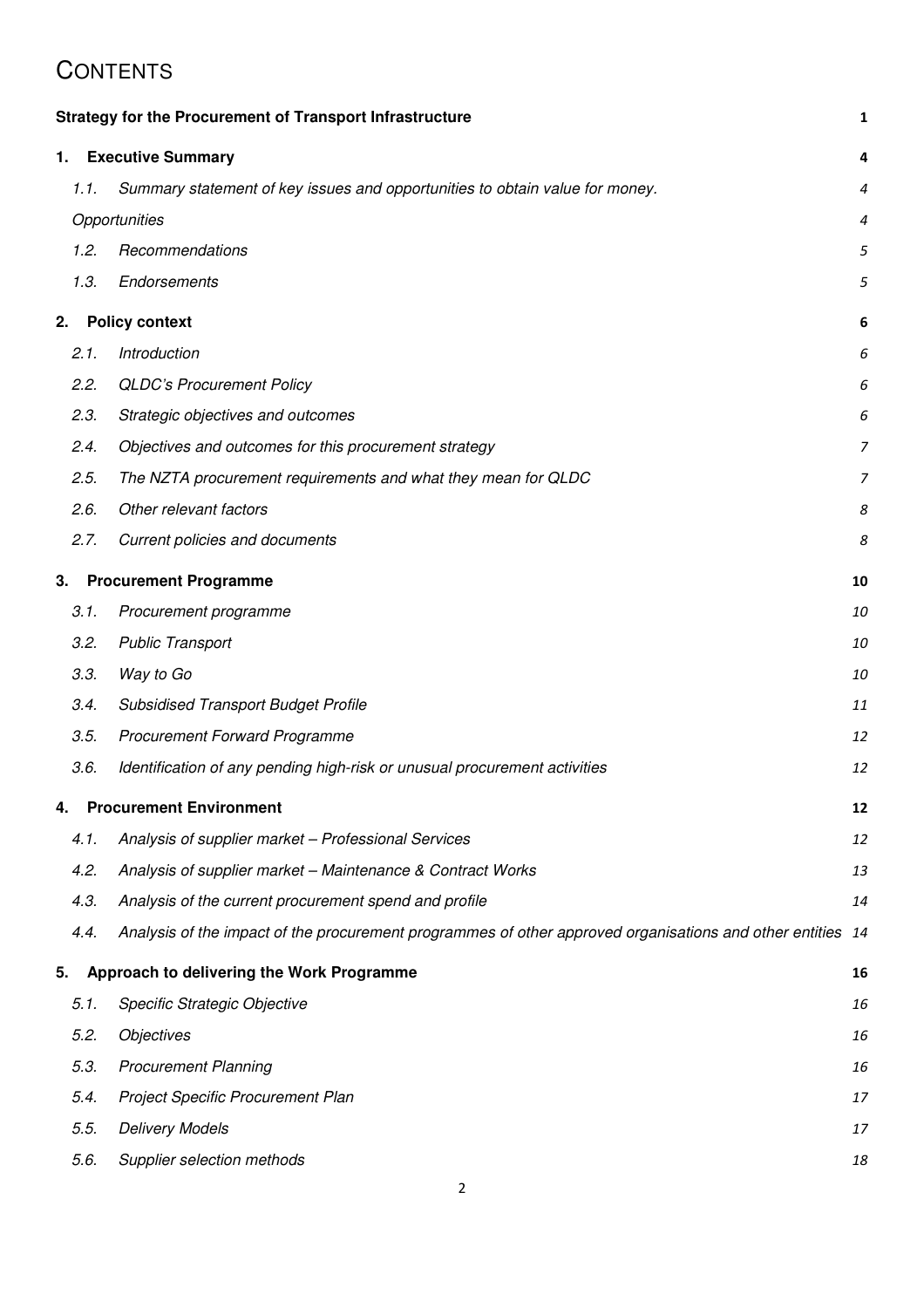#### **CONTENTS**

|    |      | <b>Strategy for the Procurement of Transport Infrastructure</b>                                            | 1              |
|----|------|------------------------------------------------------------------------------------------------------------|----------------|
| 1. |      | <b>Executive Summary</b>                                                                                   | 4              |
|    | 1.1. | Summary statement of key issues and opportunities to obtain value for money.                               | 4              |
|    |      | Opportunities                                                                                              | 4              |
|    | 1.2. | Recommendations                                                                                            | 5              |
|    | 1.3. | Endorsements                                                                                               | 5              |
| 2. |      | <b>Policy context</b>                                                                                      | 6              |
|    | 2.1. | Introduction                                                                                               | 6              |
|    | 2.2. | <b>QLDC's Procurement Policy</b>                                                                           | 6              |
|    | 2.3. | Strategic objectives and outcomes                                                                          | 6              |
|    | 2.4. | Objectives and outcomes for this procurement strategy                                                      | $\overline{z}$ |
|    | 2.5. | The NZTA procurement requirements and what they mean for QLDC                                              | $\overline{7}$ |
|    | 2.6. | Other relevant factors                                                                                     | 8              |
|    | 2.7. | Current policies and documents                                                                             | 8              |
| 3. |      | <b>Procurement Programme</b>                                                                               | 10             |
|    | 3.1. | Procurement programme                                                                                      | 10             |
|    | 3.2. | <b>Public Transport</b>                                                                                    | 10             |
|    | 3.3. | Way to Go                                                                                                  | 10             |
|    | 3.4. | <b>Subsidised Transport Budget Profile</b>                                                                 | 11             |
|    | 3.5. | <b>Procurement Forward Programme</b>                                                                       | 12             |
|    | 3.6. | Identification of any pending high-risk or unusual procurement activities                                  | 12             |
| 4. |      | <b>Procurement Environment</b>                                                                             | 12             |
|    | 4.1. | Analysis of supplier market - Professional Services                                                        | 12             |
|    | 4.2. | Analysis of supplier market - Maintenance & Contract Works                                                 | 13             |
|    | 4.3. | Analysis of the current procurement spend and profile                                                      | 14             |
|    | 4.4. | Analysis of the impact of the procurement programmes of other approved organisations and other entities 14 |                |
| 5. |      | Approach to delivering the Work Programme                                                                  | 16             |
|    | 5.1. | Specific Strategic Objective                                                                               | 16             |
|    | 5.2. | <b>Objectives</b>                                                                                          | 16             |
|    | 5.3. | <b>Procurement Planning</b>                                                                                | 16             |
|    | 5.4. | Project Specific Procurement Plan                                                                          | 17             |
|    | 5.5. | <b>Delivery Models</b>                                                                                     | 17             |
|    | 5.6. | Supplier selection methods                                                                                 | 18             |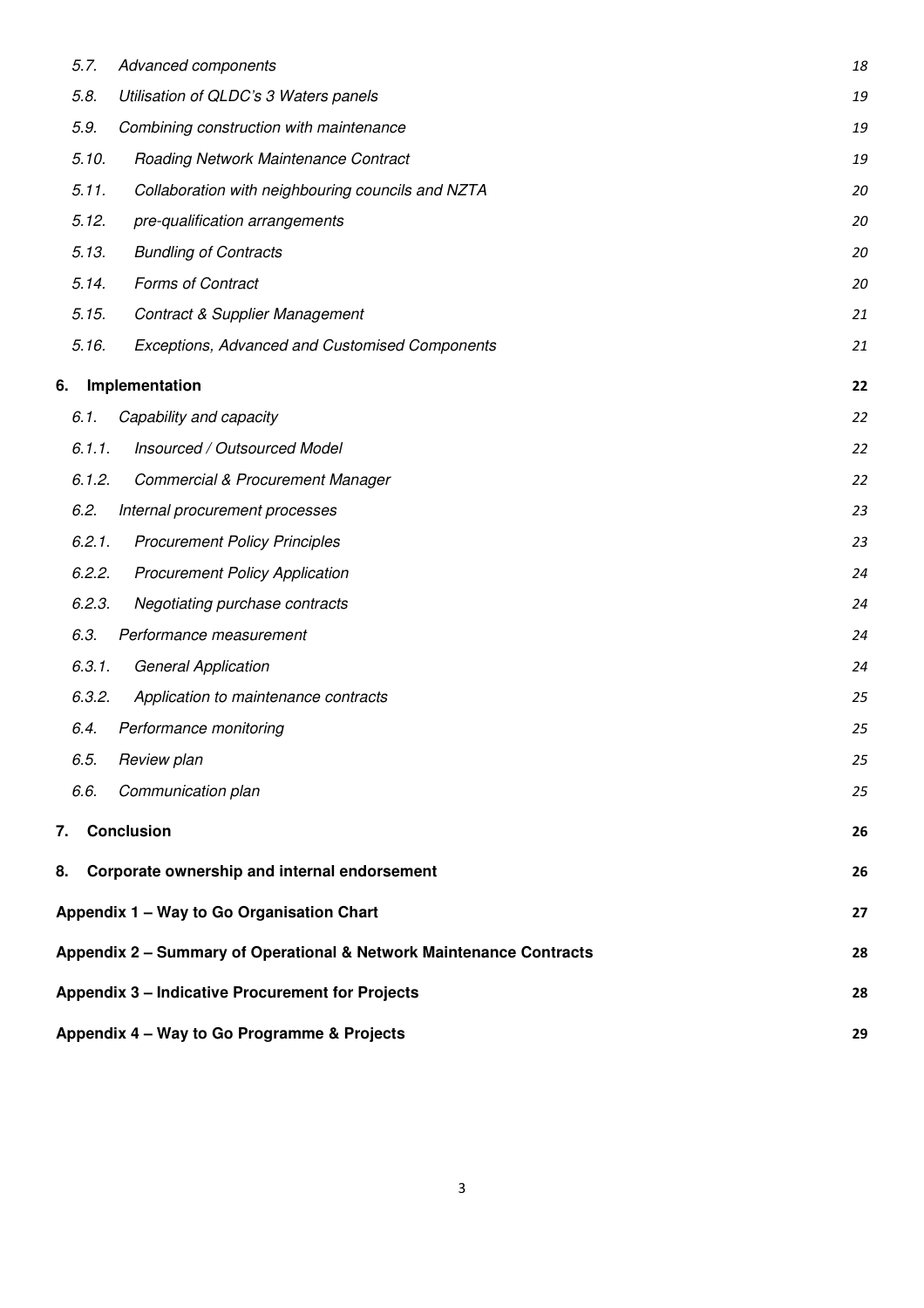|    | 5.7.   | Advanced components                                                 | 18 |
|----|--------|---------------------------------------------------------------------|----|
|    | 5.8.   | Utilisation of QLDC's 3 Waters panels                               | 19 |
|    | 5.9.   | Combining construction with maintenance                             | 19 |
|    | 5.10.  | Roading Network Maintenance Contract                                | 19 |
|    | 5.11.  | Collaboration with neighbouring councils and NZTA                   | 20 |
|    | 5.12.  | pre-qualification arrangements                                      | 20 |
|    | 5.13.  | <b>Bundling of Contracts</b>                                        | 20 |
|    | 5.14.  | Forms of Contract                                                   | 20 |
|    | 5.15.  | <b>Contract &amp; Supplier Management</b>                           | 21 |
|    | 5.16.  | Exceptions, Advanced and Customised Components                      | 21 |
| 6. |        | Implementation                                                      | 22 |
|    | 6.1.   | Capability and capacity                                             | 22 |
|    | 6.1.1. | Insourced / Outsourced Model                                        | 22 |
|    | 6.1.2. | <b>Commercial &amp; Procurement Manager</b>                         | 22 |
|    | 6.2.   | Internal procurement processes                                      | 23 |
|    | 6.2.1. | <b>Procurement Policy Principles</b>                                | 23 |
|    | 6.2.2. | <b>Procurement Policy Application</b>                               | 24 |
|    | 6.2.3. | Negotiating purchase contracts                                      | 24 |
|    | 6.3.   | Performance measurement                                             | 24 |
|    | 6.3.1. | <b>General Application</b>                                          | 24 |
|    | 6.3.2. | Application to maintenance contracts                                | 25 |
|    | 6.4.   | Performance monitoring                                              | 25 |
|    | 6.5.   | Review plan                                                         | 25 |
|    | 6.6.   | Communication plan                                                  | 25 |
|    | 7.     | <b>Conclusion</b>                                                   | 26 |
|    |        | 8. Corporate ownership and internal endorsement                     | 26 |
|    |        | Appendix 1 - Way to Go Organisation Chart                           | 27 |
|    |        | Appendix 2 - Summary of Operational & Network Maintenance Contracts | 28 |
|    |        | <b>Appendix 3 - Indicative Procurement for Projects</b>             | 28 |
|    |        |                                                                     |    |
|    |        | Appendix 4 - Way to Go Programme & Projects                         | 29 |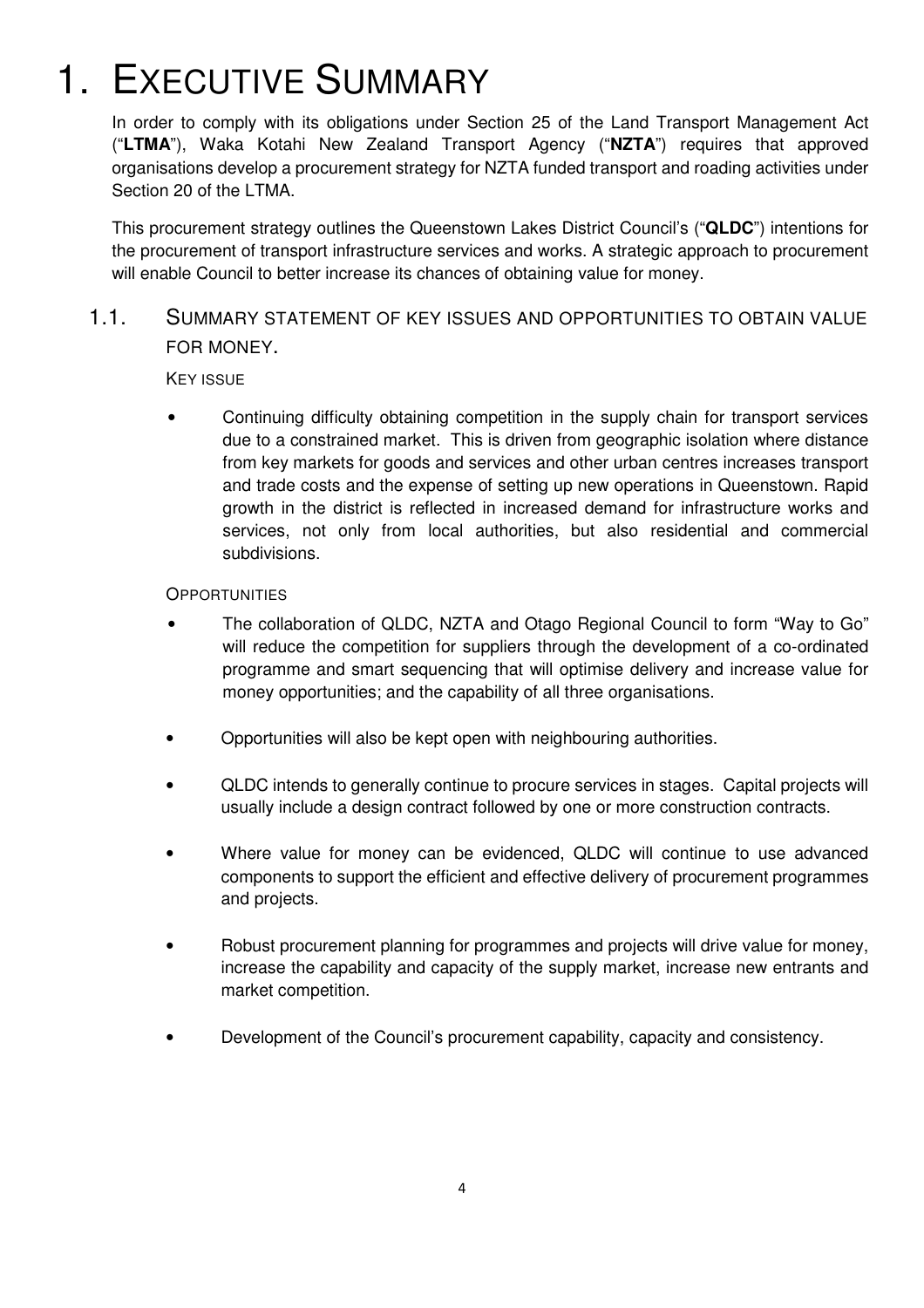## 1. EXECUTIVE SUMMARY

In order to comply with its obligations under Section 25 of the Land Transport Management Act ("**LTMA**"), Waka Kotahi New Zealand Transport Agency ("**NZTA**") requires that approved organisations develop a procurement strategy for NZTA funded transport and roading activities under Section 20 of the LTMA.

This procurement strategy outlines the Queenstown Lakes District Council's ("**QLDC**") intentions for the procurement of transport infrastructure services and works. A strategic approach to procurement will enable Council to better increase its chances of obtaining value for money.

#### 1.1. SUMMARY STATEMENT OF KEY ISSUES AND OPPORTUNITIES TO OBTAIN VALUE FOR MONEY.

KEY ISSUE

• Continuing difficulty obtaining competition in the supply chain for transport services due to a constrained market. This is driven from geographic isolation where distance from key markets for goods and services and other urban centres increases transport and trade costs and the expense of setting up new operations in Queenstown. Rapid growth in the district is reflected in increased demand for infrastructure works and services, not only from local authorities, but also residential and commercial subdivisions.

#### **OPPORTUNITIES**

- The collaboration of QLDC, NZTA and Otago Regional Council to form "Way to Go" will reduce the competition for suppliers through the development of a co-ordinated programme and smart sequencing that will optimise delivery and increase value for money opportunities; and the capability of all three organisations.
- Opportunities will also be kept open with neighbouring authorities.
- QLDC intends to generally continue to procure services in stages. Capital projects will usually include a design contract followed by one or more construction contracts.
- Where value for money can be evidenced, QLDC will continue to use advanced components to support the efficient and effective delivery of procurement programmes and projects.
- Robust procurement planning for programmes and projects will drive value for money, increase the capability and capacity of the supply market, increase new entrants and market competition.
- Development of the Council's procurement capability, capacity and consistency.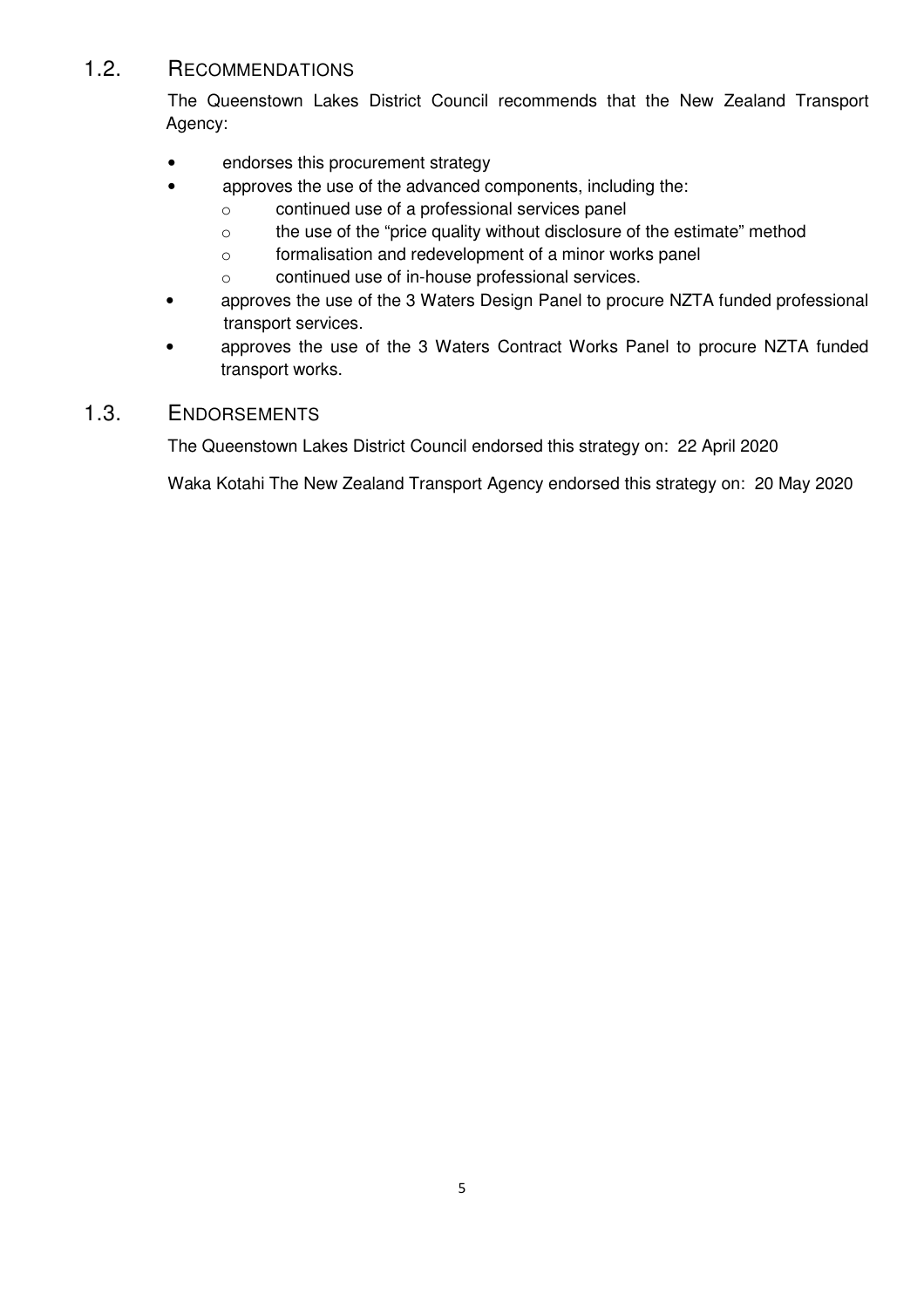#### 1.2. RECOMMENDATIONS

The Queenstown Lakes District Council recommends that the New Zealand Transport Agency:

- endorses this procurement strategy
- approves the use of the advanced components, including the:
	- o continued use of a professional services panel
	- o the use of the "price quality without disclosure of the estimate" method
	- o formalisation and redevelopment of a minor works panel
	- o continued use of in-house professional services.
- approves the use of the 3 Waters Design Panel to procure NZTA funded professional transport services.
- approves the use of the 3 Waters Contract Works Panel to procure NZTA funded transport works.

#### 1.3. ENDORSEMENTS

The Queenstown Lakes District Council endorsed this strategy on: 22 April 2020

Waka Kotahi The New Zealand Transport Agency endorsed this strategy on: 20 May 2020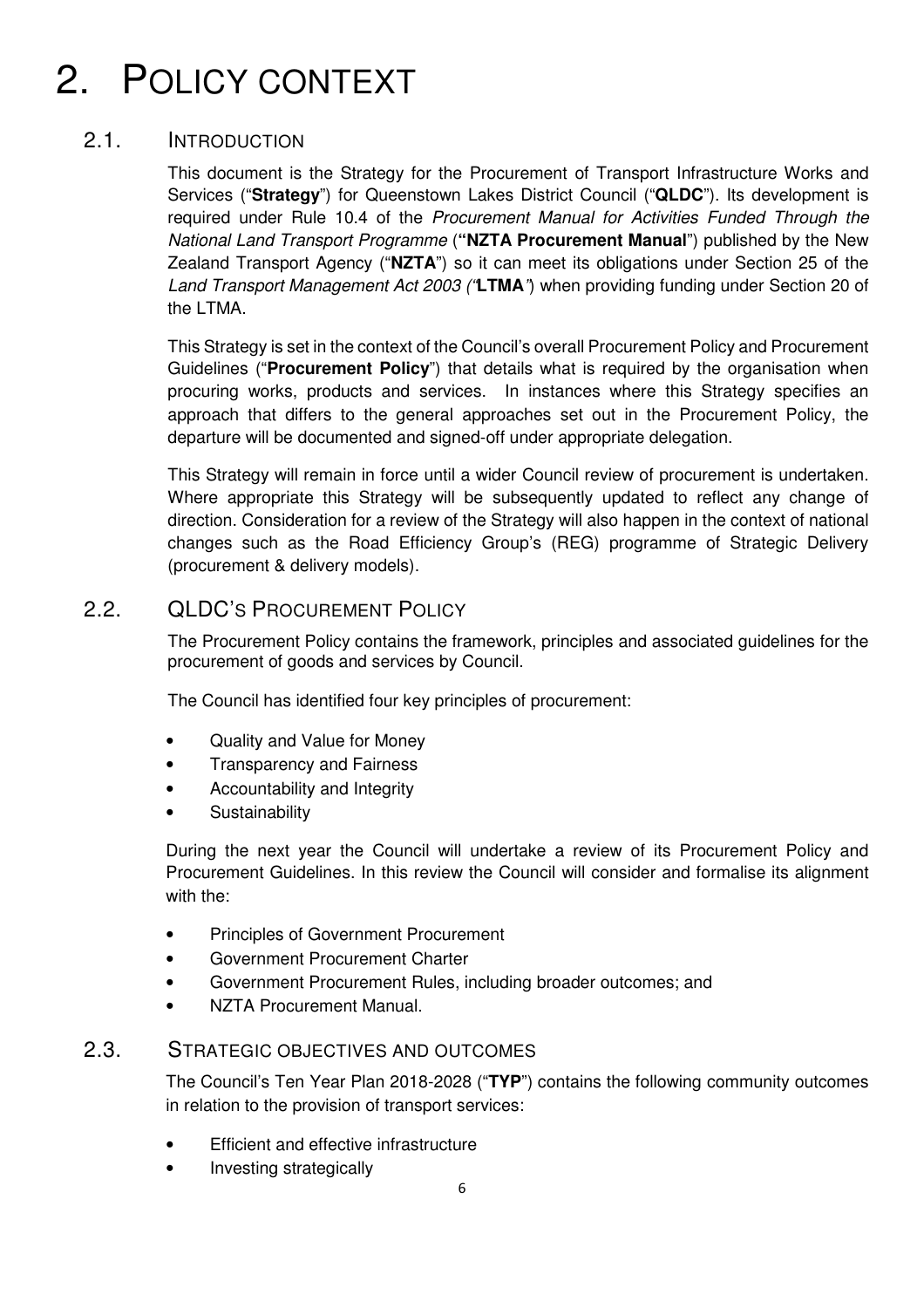## 2. POLICY CONTEXT

#### 2.1. INTRODUCTION

This document is the Strategy for the Procurement of Transport Infrastructure Works and Services ("**Strategy**") for Queenstown Lakes District Council ("**QLDC**"). Its development is required under Rule 10.4 of the Procurement Manual for Activities Funded Through the National Land Transport Programme (**"NZTA Procurement Manual**") published by the New Zealand Transport Agency ("**NZTA**") so it can meet its obligations under Section 25 of the Land Transport Management Act 2003 ("**LTMA**") when providing funding under Section 20 of the LTMA.

This Strategy is set in the context of the Council's overall Procurement Policy and Procurement Guidelines ("**Procurement Policy**") that details what is required by the organisation when procuring works, products and services. In instances where this Strategy specifies an approach that differs to the general approaches set out in the Procurement Policy, the departure will be documented and signed-off under appropriate delegation.

This Strategy will remain in force until a wider Council review of procurement is undertaken. Where appropriate this Strategy will be subsequently updated to reflect any change of direction. Consideration for a review of the Strategy will also happen in the context of national changes such as the Road Efficiency Group's (REG) programme of Strategic Delivery (procurement & delivery models).

#### 2.2. **QLDC's PROCUREMENT POLICY**

The Procurement Policy contains the framework, principles and associated guidelines for the procurement of goods and services by Council.

The Council has identified four key principles of procurement:

- Quality and Value for Money
- Transparency and Fairness
- Accountability and Integrity
- Sustainability

During the next year the Council will undertake a review of its Procurement Policy and Procurement Guidelines. In this review the Council will consider and formalise its alignment with the:

- Principles of Government Procurement
- Government Procurement Charter
- Government Procurement Rules, including broader outcomes; and
- NZTA Procurement Manual.

#### 2.3. STRATEGIC OBJECTIVES AND OUTCOMES

The Council's Ten Year Plan 2018-2028 ("**TYP**") contains the following community outcomes in relation to the provision of transport services:

- Efficient and effective infrastructure
- Investing strategically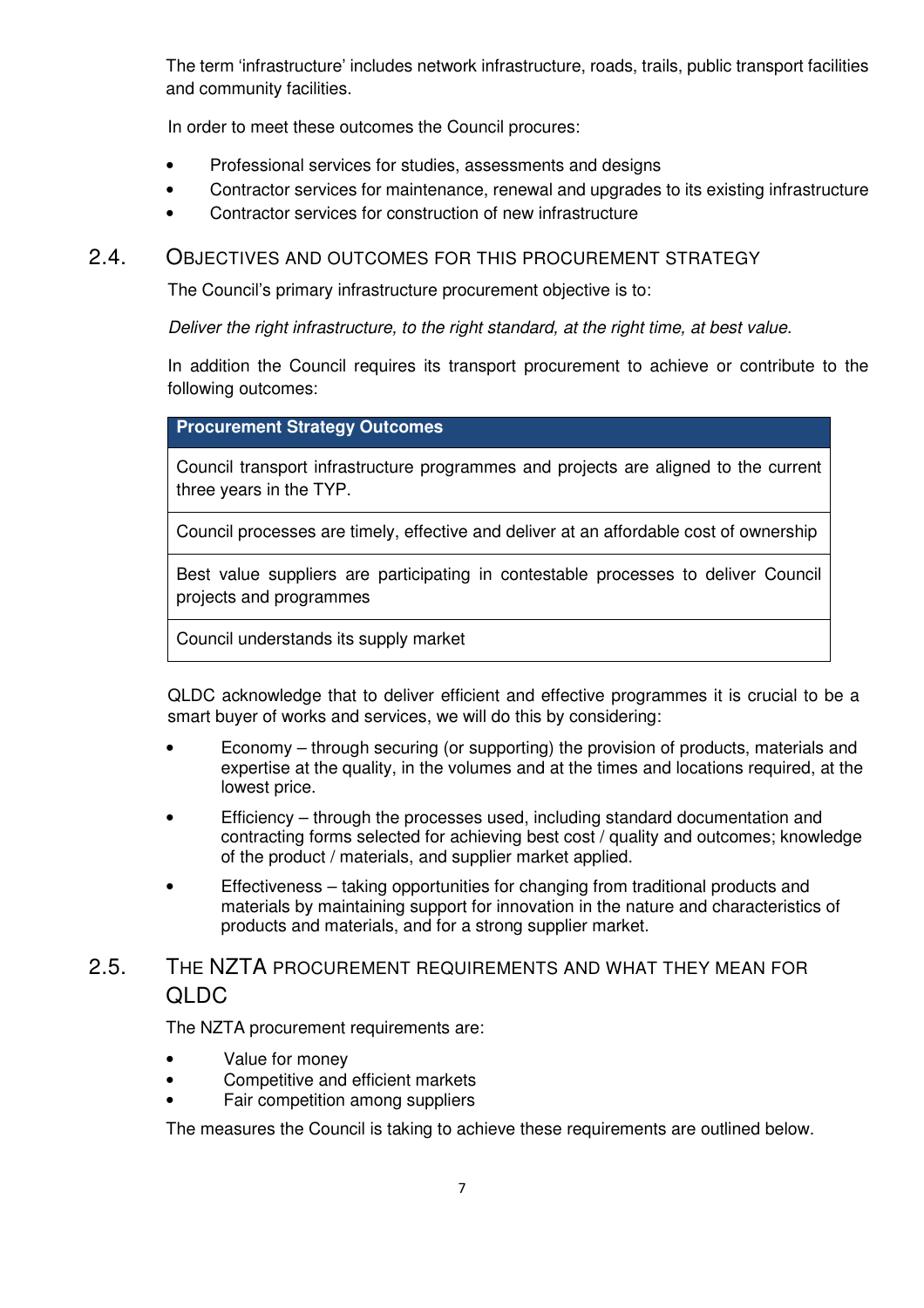The term 'infrastructure' includes network infrastructure, roads, trails, public transport facilities and community facilities.

In order to meet these outcomes the Council procures:

- Professional services for studies, assessments and designs
- Contractor services for maintenance, renewal and upgrades to its existing infrastructure
- Contractor services for construction of new infrastructure

#### 2.4. OBJECTIVES AND OUTCOMES FOR THIS PROCUREMENT STRATEGY

The Council's primary infrastructure procurement objective is to:

Deliver the right infrastructure, to the right standard, at the right time, at best value.

In addition the Council requires its transport procurement to achieve or contribute to the following outcomes:

#### **Procurement Strategy Outcomes**

Council transport infrastructure programmes and projects are aligned to the current three years in the TYP.

Council processes are timely, effective and deliver at an affordable cost of ownership

Best value suppliers are participating in contestable processes to deliver Council projects and programmes

Council understands its supply market

QLDC acknowledge that to deliver efficient and effective programmes it is crucial to be a smart buyer of works and services, we will do this by considering:

- Economy through securing (or supporting) the provision of products, materials and expertise at the quality, in the volumes and at the times and locations required, at the lowest price.
- Efficiency through the processes used, including standard documentation and contracting forms selected for achieving best cost / quality and outcomes; knowledge of the product / materials, and supplier market applied.
- Effectiveness taking opportunities for changing from traditional products and materials by maintaining support for innovation in the nature and characteristics of products and materials, and for a strong supplier market.

#### 2.5. THE NZTA PROCUREMENT REQUIREMENTS AND WHAT THEY MEAN FOR QLDC

The NZTA procurement requirements are:

- Value for money
- Competitive and efficient markets
- Fair competition among suppliers

The measures the Council is taking to achieve these requirements are outlined below.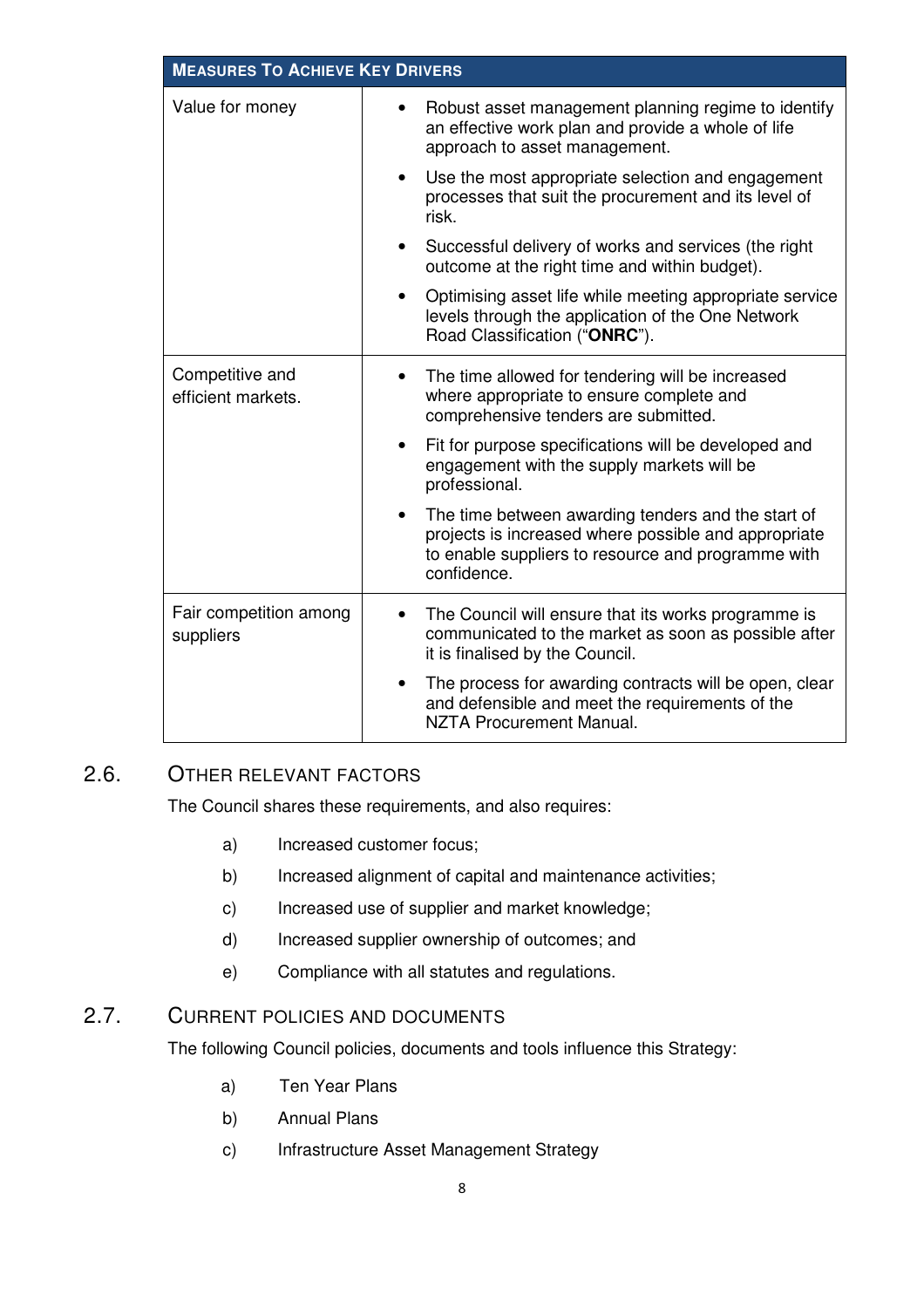| <b>MEASURES TO ACHIEVE KEY DRIVERS</b> |                                                                                                                                                                                              |  |  |  |
|----------------------------------------|----------------------------------------------------------------------------------------------------------------------------------------------------------------------------------------------|--|--|--|
| Value for money                        | Robust asset management planning regime to identify<br>an effective work plan and provide a whole of life<br>approach to asset management.                                                   |  |  |  |
|                                        | Use the most appropriate selection and engagement<br>processes that suit the procurement and its level of<br>risk.                                                                           |  |  |  |
|                                        | Successful delivery of works and services (the right<br>$\bullet$<br>outcome at the right time and within budget).                                                                           |  |  |  |
|                                        | Optimising asset life while meeting appropriate service<br>levels through the application of the One Network<br>Road Classification ("ONRC").                                                |  |  |  |
| Competitive and<br>efficient markets.  | The time allowed for tendering will be increased<br>$\bullet$<br>where appropriate to ensure complete and<br>comprehensive tenders are submitted.                                            |  |  |  |
|                                        | Fit for purpose specifications will be developed and<br>engagement with the supply markets will be<br>professional.                                                                          |  |  |  |
|                                        | The time between awarding tenders and the start of<br>$\bullet$<br>projects is increased where possible and appropriate<br>to enable suppliers to resource and programme with<br>confidence. |  |  |  |
| Fair competition among<br>suppliers    | The Council will ensure that its works programme is<br>$\bullet$<br>communicated to the market as soon as possible after<br>it is finalised by the Council.                                  |  |  |  |
|                                        | The process for awarding contracts will be open, clear<br>and defensible and meet the requirements of the<br><b>NZTA Procurement Manual.</b>                                                 |  |  |  |

#### 2.6. OTHER RELEVANT FACTORS

The Council shares these requirements, and also requires:

- a) Increased customer focus;
- b) Increased alignment of capital and maintenance activities;
- c) Increased use of supplier and market knowledge;
- d) Increased supplier ownership of outcomes; and
- e) Compliance with all statutes and regulations.

#### 2.7. CURRENT POLICIES AND DOCUMENTS

The following Council policies, documents and tools influence this Strategy:

- a) Ten Year Plans
- b) Annual Plans
- c) Infrastructure Asset Management Strategy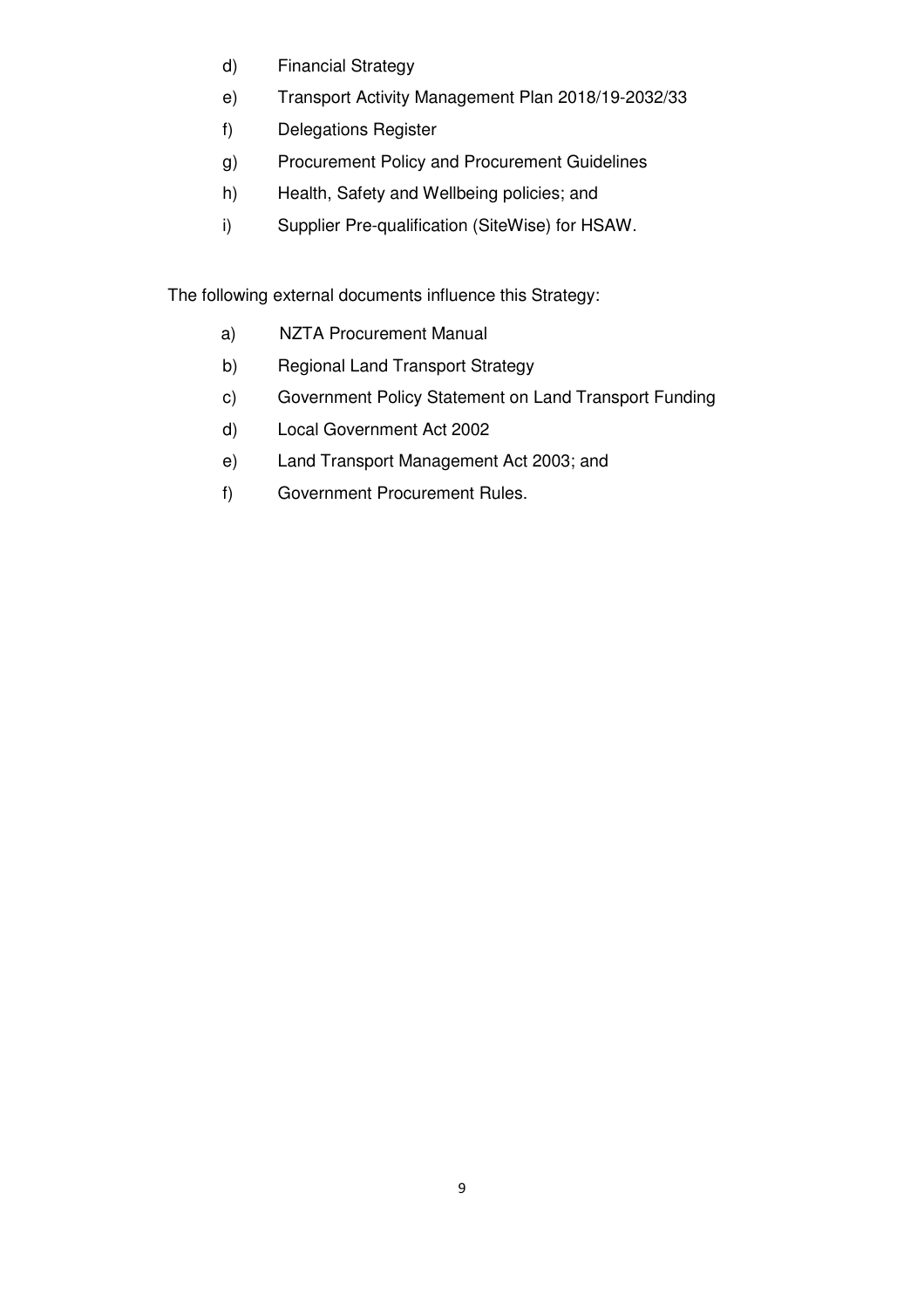- d) Financial Strategy
- e) Transport Activity Management Plan 2018/19-2032/33
- f) Delegations Register
- g) Procurement Policy and Procurement Guidelines
- h) Health, Safety and Wellbeing policies; and
- i) Supplier Pre-qualification (SiteWise) for HSAW.

The following external documents influence this Strategy:

- a) NZTA Procurement Manual
- b) Regional Land Transport Strategy
- c) Government Policy Statement on Land Transport Funding
- d) Local Government Act 2002
- e) Land Transport Management Act 2003; and
- f) Government Procurement Rules.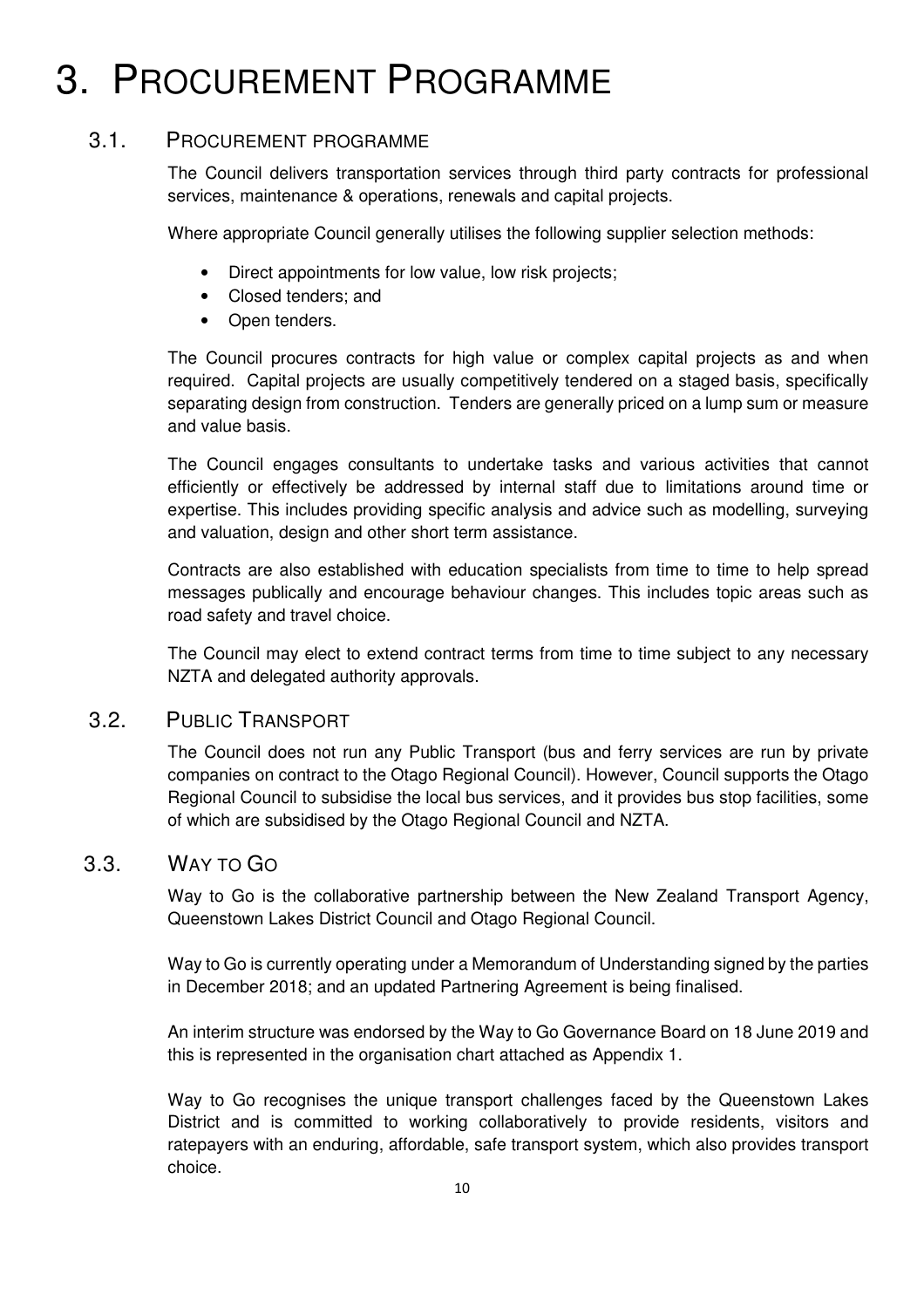## 3. PROCUREMENT PROGRAMME

#### 3.1. PROCUREMENT PROGRAMME

The Council delivers transportation services through third party contracts for professional services, maintenance & operations, renewals and capital projects.

Where appropriate Council generally utilises the following supplier selection methods:

- Direct appointments for low value, low risk projects;
- Closed tenders; and
- Open tenders.

The Council procures contracts for high value or complex capital projects as and when required. Capital projects are usually competitively tendered on a staged basis, specifically separating design from construction. Tenders are generally priced on a lump sum or measure and value basis.

The Council engages consultants to undertake tasks and various activities that cannot efficiently or effectively be addressed by internal staff due to limitations around time or expertise. This includes providing specific analysis and advice such as modelling, surveying and valuation, design and other short term assistance.

Contracts are also established with education specialists from time to time to help spread messages publically and encourage behaviour changes. This includes topic areas such as road safety and travel choice.

The Council may elect to extend contract terms from time to time subject to any necessary NZTA and delegated authority approvals.

#### 3.2. PUBLIC TRANSPORT

The Council does not run any Public Transport (bus and ferry services are run by private companies on contract to the Otago Regional Council). However, Council supports the Otago Regional Council to subsidise the local bus services, and it provides bus stop facilities, some of which are subsidised by the Otago Regional Council and NZTA.

#### 3.3. WAY TO GO

Way to Go is the collaborative partnership between the New Zealand Transport Agency, Queenstown Lakes District Council and Otago Regional Council.

Way to Go is currently operating under a Memorandum of Understanding signed by the parties in December 2018; and an updated Partnering Agreement is being finalised.

An interim structure was endorsed by the Way to Go Governance Board on 18 June 2019 and this is represented in the organisation chart attached as Appendix 1.

Way to Go recognises the unique transport challenges faced by the Queenstown Lakes District and is committed to working collaboratively to provide residents, visitors and ratepayers with an enduring, affordable, safe transport system, which also provides transport choice.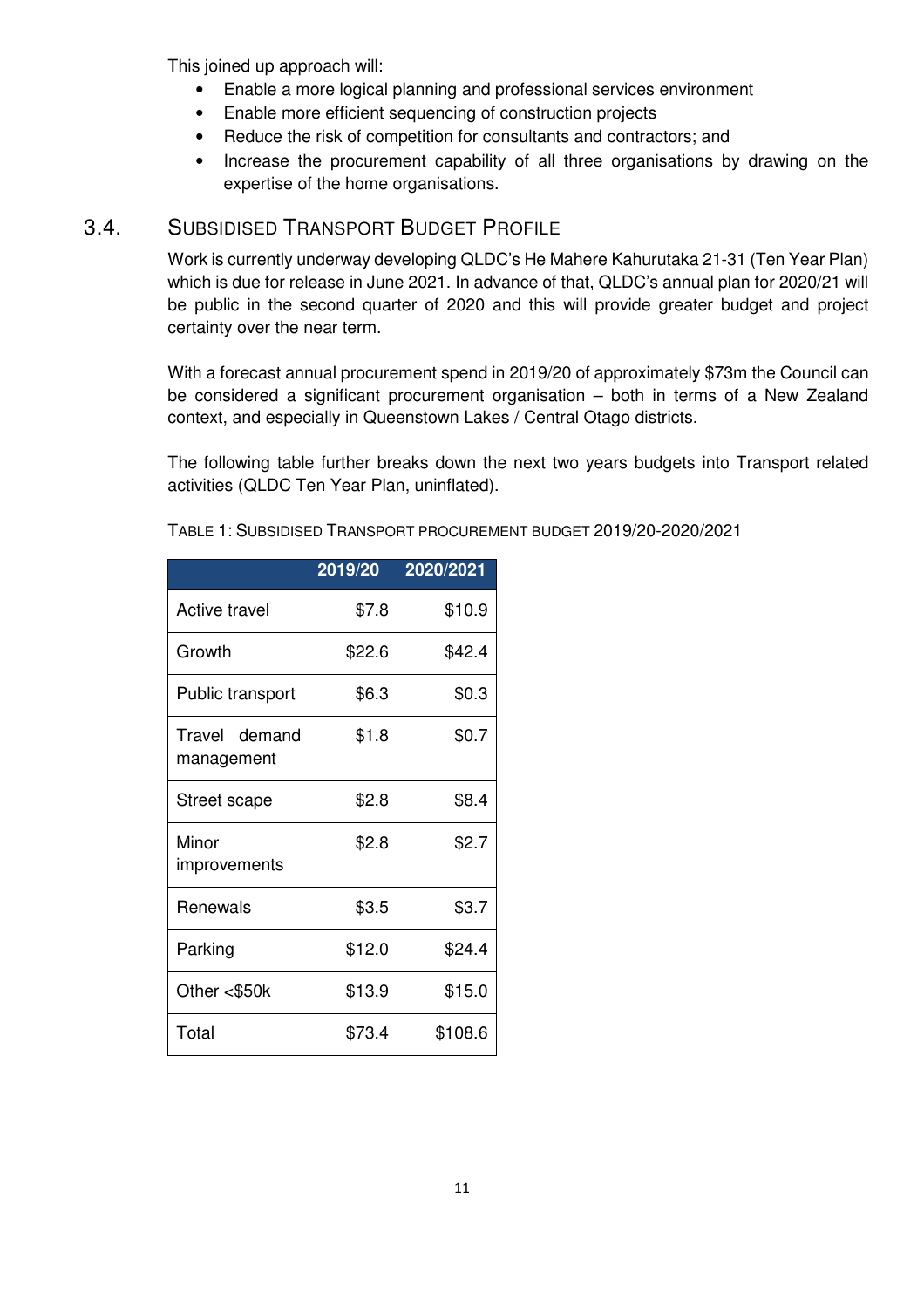This joined up approach will:

- Enable a more logical planning and professional services environment
- Enable more efficient sequencing of construction projects
- Reduce the risk of competition for consultants and contractors; and
- Increase the procurement capability of all three organisations by drawing on the expertise of the home organisations.

#### 3.4. SUBSIDISED TRANSPORT BUDGET PROFILE

Work is currently underway developing QLDC's He Mahere Kahurutaka 21-31 (Ten Year Plan) which is due for release in June 2021. In advance of that, QLDC's annual plan for 2020/21 will be public in the second quarter of 2020 and this will provide greater budget and project certainty over the near term.

With a forecast annual procurement spend in 2019/20 of approximately \$73m the Council can be considered a significant procurement organisation – both in terms of a New Zealand context, and especially in Queenstown Lakes / Central Otago districts.

The following table further breaks down the next two years budgets into Transport related activities (QLDC Ten Year Plan, uninflated).

|                             | 2019/20 | 2020/2021 |
|-----------------------------|---------|-----------|
| <b>Active travel</b>        | \$7.8   | \$10.9    |
| Growth                      | \$22.6  | \$42.4    |
| Public transport            | \$6.3   | \$0.3     |
| Travel demand<br>management | \$1.8   | \$0.7     |
| Street scape                | \$2.8   | \$8.4     |
| Minor<br>improvements       | \$2.8   | \$2.7     |
| Renewals                    | \$3.5   | \$3.7     |
| Parking                     | \$12.0  | \$24.4    |
| Other <\$50k                | \$13.9  | \$15.0    |
| Total                       | \$73.4  | \$108.6   |

TABLE 1: SUBSIDISED TRANSPORT PROCUREMENT BUDGET 2019/20-2020/2021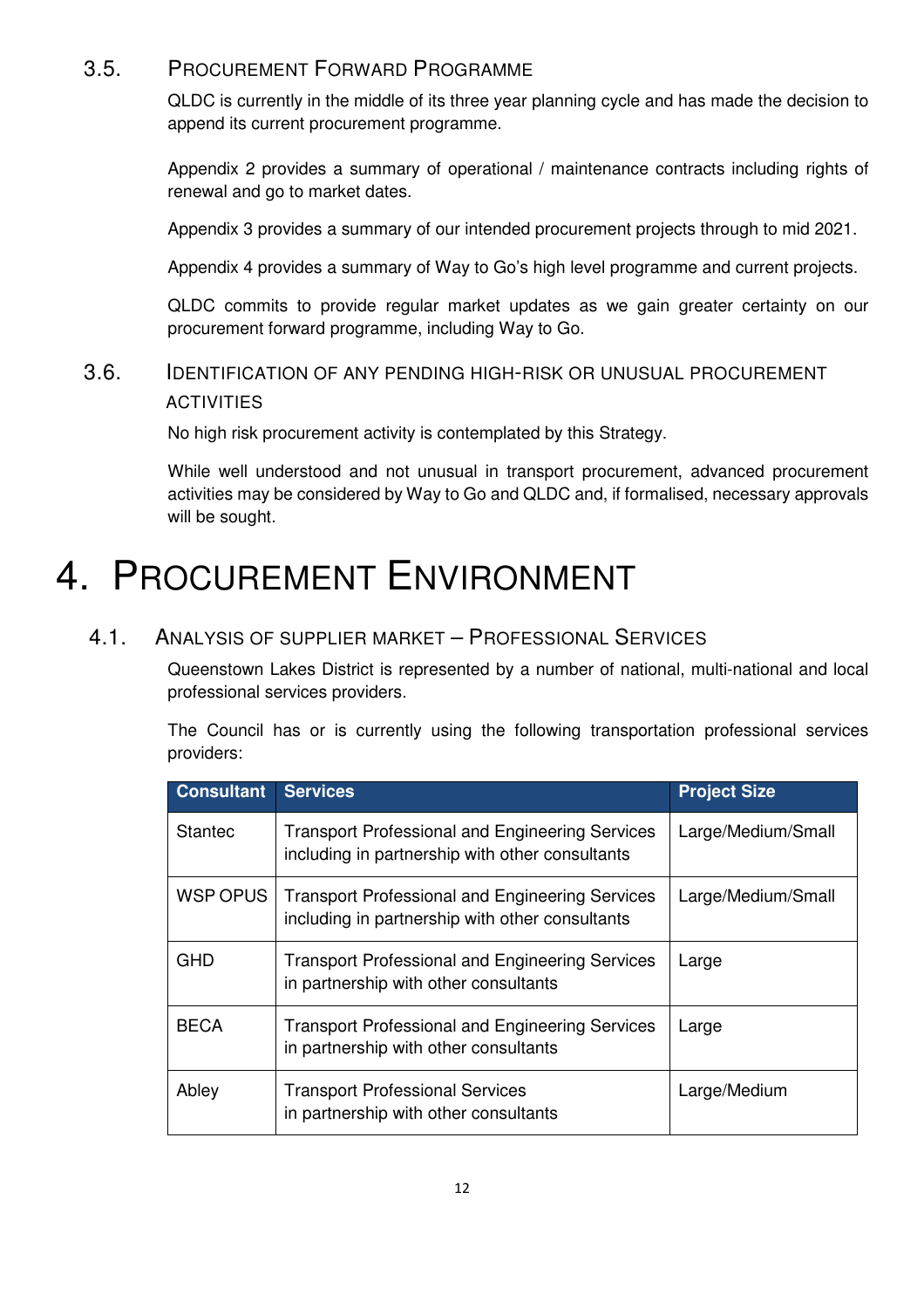#### 3.5. PROCUREMENT FORWARD PROGRAMME

QLDC is currently in the middle of its three year planning cycle and has made the decision to append its current procurement programme.

Appendix 2 provides a summary of operational / maintenance contracts including rights of renewal and go to market dates.

Appendix 3 provides a summary of our intended procurement projects through to mid 2021.

Appendix 4 provides a summary of Way to Go's high level programme and current projects.

QLDC commits to provide regular market updates as we gain greater certainty on our procurement forward programme, including Way to Go.

#### 3.6. IDENTIFICATION OF ANY PENDING HIGH-RISK OR UNUSUAL PROCUREMENT ACTIVITIES

No high risk procurement activity is contemplated by this Strategy.

While well understood and not unusual in transport procurement, advanced procurement activities may be considered by Way to Go and QLDC and, if formalised, necessary approvals will be sought.

### 4. PROCUREMENT ENVIRONMENT

#### 4.1. ANALYSIS OF SUPPLIER MARKET – PROFESSIONAL SERVICES

Queenstown Lakes District is represented by a number of national, multi-national and local professional services providers.

The Council has or is currently using the following transportation professional services providers:

| <b>Consultant</b> | <b>Services</b>                                                                                           | <b>Project Size</b> |
|-------------------|-----------------------------------------------------------------------------------------------------------|---------------------|
| <b>Stantec</b>    | <b>Transport Professional and Engineering Services</b><br>including in partnership with other consultants | Large/Medium/Small  |
| WSP OPUS          | <b>Transport Professional and Engineering Services</b><br>including in partnership with other consultants | Large/Medium/Small  |
| <b>GHD</b>        | <b>Transport Professional and Engineering Services</b><br>in partnership with other consultants           | Large               |
| <b>BECA</b>       | <b>Transport Professional and Engineering Services</b><br>in partnership with other consultants           | Large               |
| Abley             | <b>Transport Professional Services</b><br>in partnership with other consultants                           | Large/Medium        |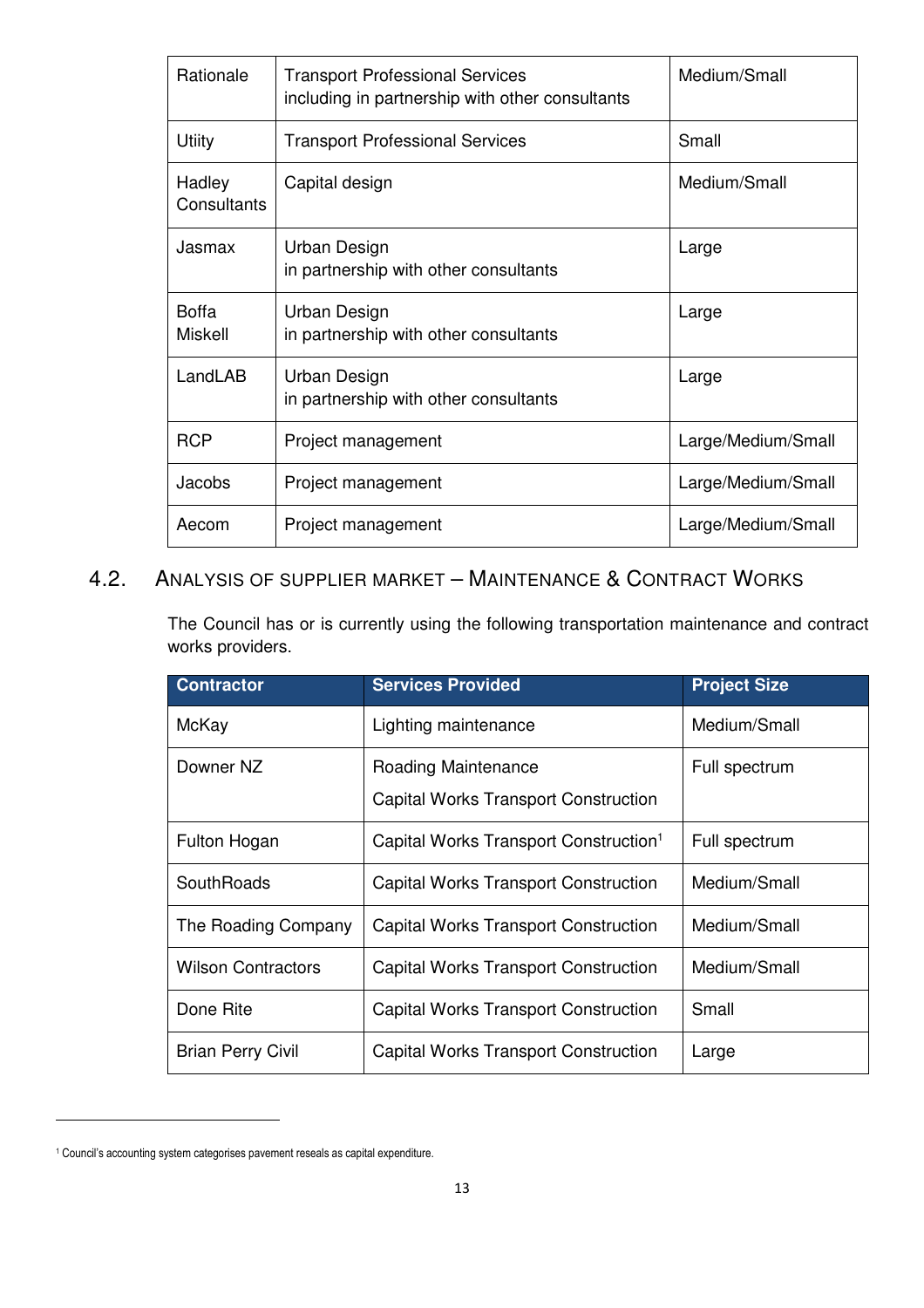| Rationale<br><b>Transport Professional Services</b><br>including in partnership with other consultants |                                                       | Medium/Small       |  |
|--------------------------------------------------------------------------------------------------------|-------------------------------------------------------|--------------------|--|
| Utiity                                                                                                 | <b>Transport Professional Services</b>                | Small              |  |
| Hadley<br>Consultants                                                                                  | Capital design                                        | Medium/Small       |  |
| Jasmax                                                                                                 | Urban Design<br>in partnership with other consultants | Large              |  |
| <b>Boffa</b><br>Miskell                                                                                | Urban Design<br>in partnership with other consultants | Large              |  |
| LandLAB                                                                                                | Urban Design<br>in partnership with other consultants | Large              |  |
| <b>RCP</b>                                                                                             | Project management                                    | Large/Medium/Small |  |
| Jacobs                                                                                                 | Project management                                    | Large/Medium/Small |  |
| Aecom                                                                                                  | Project management                                    | Large/Medium/Small |  |

#### 4.2. ANALYSIS OF SUPPLIER MARKET – MAINTENANCE & CONTRACT WORKS

The Council has or is currently using the following transportation maintenance and contract works providers.

| <b>Contractor</b>         | <b>Services Provided</b>                          | <b>Project Size</b> |
|---------------------------|---------------------------------------------------|---------------------|
| McKay                     | Lighting maintenance                              | Medium/Small        |
| Downer NZ                 | Roading Maintenance                               | Full spectrum       |
|                           | <b>Capital Works Transport Construction</b>       |                     |
| Fulton Hogan              | Capital Works Transport Construction <sup>1</sup> | Full spectrum       |
| SouthRoads                | <b>Capital Works Transport Construction</b>       | Medium/Small        |
| The Roading Company       | <b>Capital Works Transport Construction</b>       | Medium/Small        |
| <b>Wilson Contractors</b> | <b>Capital Works Transport Construction</b>       | Medium/Small        |
| Done Rite                 | <b>Capital Works Transport Construction</b>       | Small               |
| <b>Brian Perry Civil</b>  | <b>Capital Works Transport Construction</b>       | Large               |

l

<sup>&</sup>lt;sup>1</sup> Council's accounting system categorises pavement reseals as capital expenditure.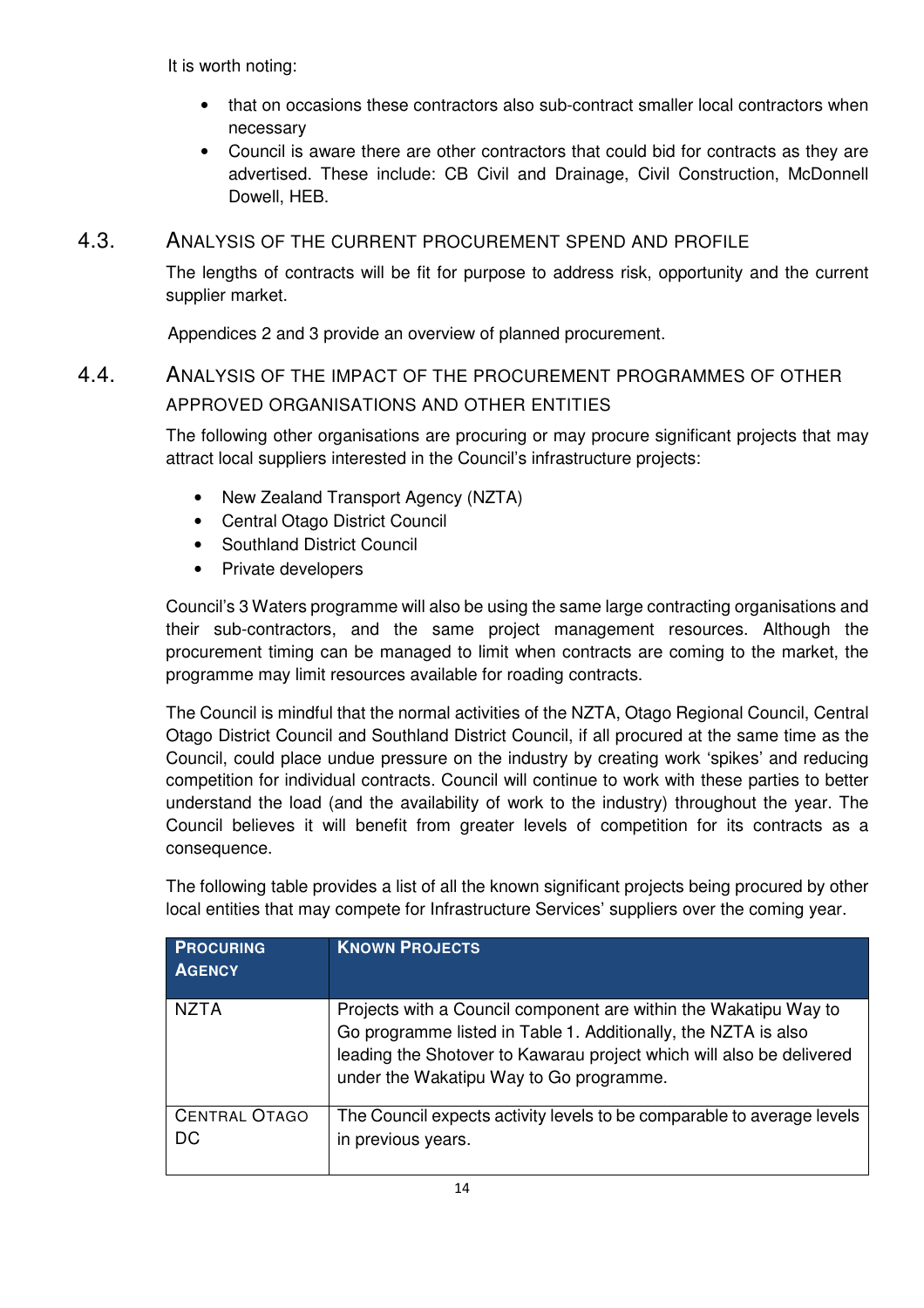It is worth noting:

- that on occasions these contractors also sub-contract smaller local contractors when necessary
- Council is aware there are other contractors that could bid for contracts as they are advertised. These include: CB Civil and Drainage, Civil Construction, McDonnell Dowell, HEB.

#### 4.3. ANALYSIS OF THE CURRENT PROCUREMENT SPEND AND PROFILE

The lengths of contracts will be fit for purpose to address risk, opportunity and the current supplier market.

Appendices 2 and 3 provide an overview of planned procurement.

#### 4.4. ANALYSIS OF THE IMPACT OF THE PROCUREMENT PROGRAMMES OF OTHER APPROVED ORGANISATIONS AND OTHER ENTITIES

The following other organisations are procuring or may procure significant projects that may attract local suppliers interested in the Council's infrastructure projects:

- New Zealand Transport Agency (NZTA)
- Central Otago District Council
- Southland District Council
- Private developers

Council's 3 Waters programme will also be using the same large contracting organisations and their sub-contractors, and the same project management resources. Although the procurement timing can be managed to limit when contracts are coming to the market, the programme may limit resources available for roading contracts.

The Council is mindful that the normal activities of the NZTA, Otago Regional Council, Central Otago District Council and Southland District Council, if all procured at the same time as the Council, could place undue pressure on the industry by creating work 'spikes' and reducing competition for individual contracts. Council will continue to work with these parties to better understand the load (and the availability of work to the industry) throughout the year. The Council believes it will benefit from greater levels of competition for its contracts as a consequence.

The following table provides a list of all the known significant projects being procured by other local entities that may compete for Infrastructure Services' suppliers over the coming year.

| <b>PROCURING</b><br><b>AGENCY</b> | <b>KNOWN PROJECTS</b>                                                                                                                                                                                                                                 |
|-----------------------------------|-------------------------------------------------------------------------------------------------------------------------------------------------------------------------------------------------------------------------------------------------------|
| <b>NZTA</b>                       | Projects with a Council component are within the Wakatipu Way to<br>Go programme listed in Table 1. Additionally, the NZTA is also<br>leading the Shotover to Kawarau project which will also be delivered<br>under the Wakatipu Way to Go programme. |
| <b>CENTRAL OTAGO</b><br>DC        | The Council expects activity levels to be comparable to average levels<br>in previous years.                                                                                                                                                          |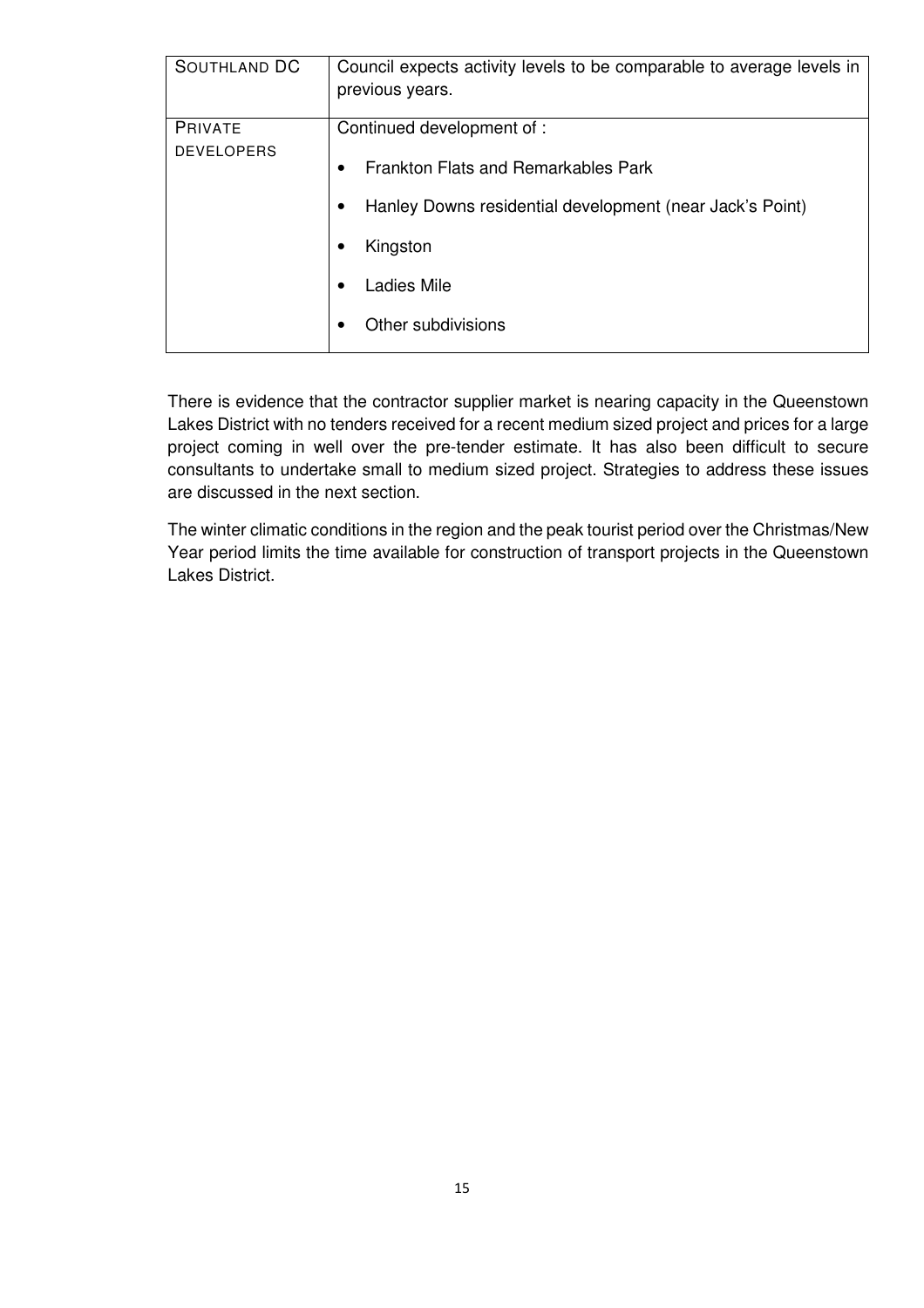| <b>SOUTHLAND DC</b>                 | Council expects activity levels to be comparable to average levels in<br>previous years.                                                                                                  |
|-------------------------------------|-------------------------------------------------------------------------------------------------------------------------------------------------------------------------------------------|
| <b>PRIVATE</b><br><b>DEVELOPERS</b> | Continued development of :<br><b>Frankton Flats and Remarkables Park</b><br>$\bullet$<br>Hanley Downs residential development (near Jack's Point)<br>Kingston<br>Ladies Mile<br>$\bullet$ |
|                                     | Other subdivisions                                                                                                                                                                        |

There is evidence that the contractor supplier market is nearing capacity in the Queenstown Lakes District with no tenders received for a recent medium sized project and prices for a large project coming in well over the pre-tender estimate. It has also been difficult to secure consultants to undertake small to medium sized project. Strategies to address these issues are discussed in the next section.

The winter climatic conditions in the region and the peak tourist period over the Christmas/New Year period limits the time available for construction of transport projects in the Queenstown Lakes District.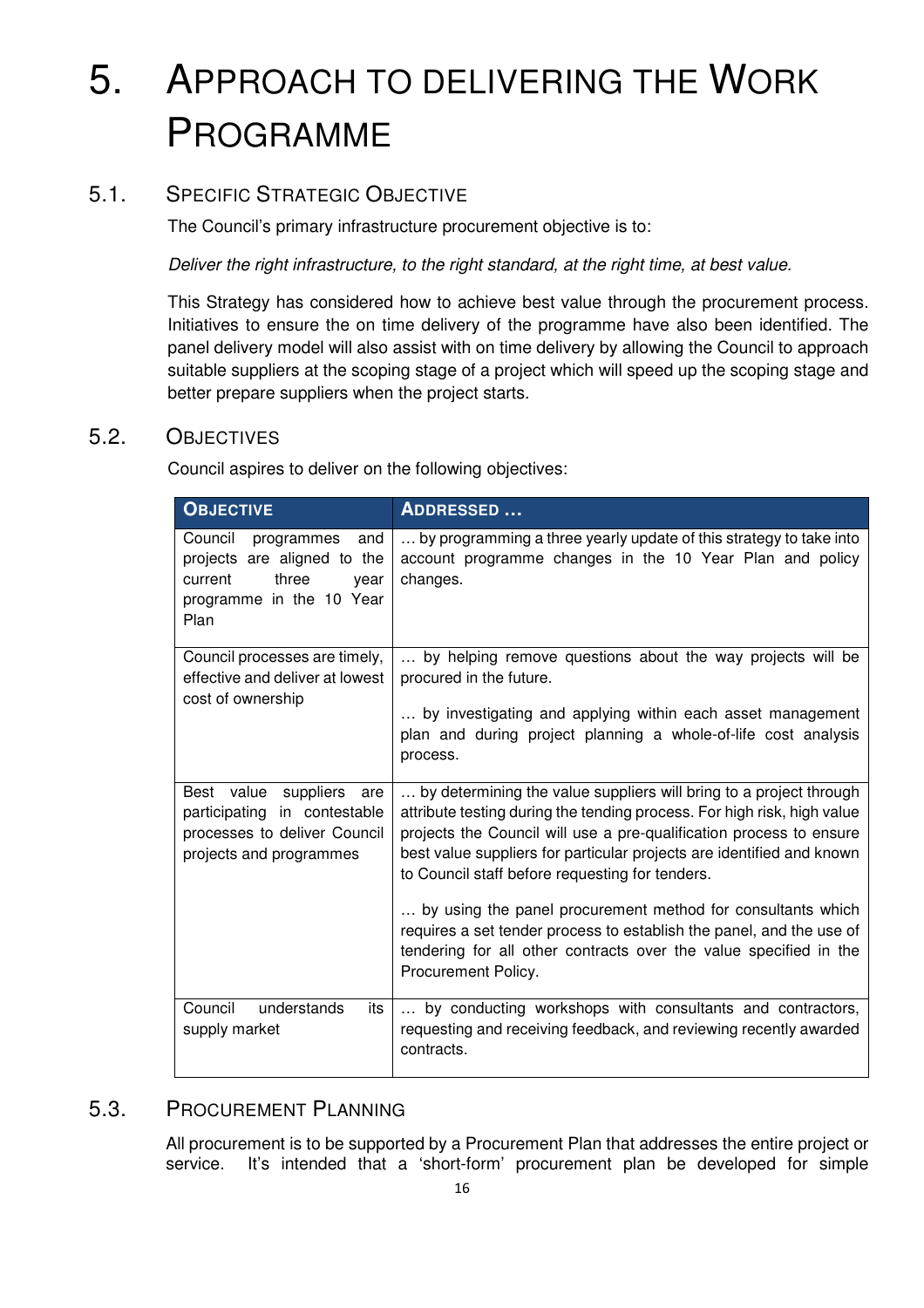## 5. APPROACH TO DELIVERING THE WORK PROGRAMME

#### 5.1. SPECIFIC STRATEGIC OBJECTIVE

The Council's primary infrastructure procurement objective is to:

Deliver the right infrastructure, to the right standard, at the right time, at best value.

This Strategy has considered how to achieve best value through the procurement process. Initiatives to ensure the on time delivery of the programme have also been identified. The panel delivery model will also assist with on time delivery by allowing the Council to approach suitable suppliers at the scoping stage of a project which will speed up the scoping stage and better prepare suppliers when the project starts.

#### 5.2. OBJECTIVES

Council aspires to deliver on the following objectives:

| <b>OBJECTIVE</b>                                                                                                            | <b>ADDRESSED</b>                                                                                                                                                                                                                                                                                                                                                                                                                                                                                                                                             |  |  |  |
|-----------------------------------------------------------------------------------------------------------------------------|--------------------------------------------------------------------------------------------------------------------------------------------------------------------------------------------------------------------------------------------------------------------------------------------------------------------------------------------------------------------------------------------------------------------------------------------------------------------------------------------------------------------------------------------------------------|--|--|--|
| Council<br>programmes<br>and<br>projects are aligned to the<br>three<br>current<br>year<br>programme in the 10 Year<br>Plan | by programming a three yearly update of this strategy to take into<br>account programme changes in the 10 Year Plan and policy<br>changes.                                                                                                                                                                                                                                                                                                                                                                                                                   |  |  |  |
| Council processes are timely,<br>effective and deliver at lowest<br>cost of ownership                                       | by helping remove questions about the way projects will be<br>procured in the future.<br>by investigating and applying within each asset management<br>plan and during project planning a whole-of-life cost analysis<br>process.                                                                                                                                                                                                                                                                                                                            |  |  |  |
| Best value suppliers<br>are<br>participating in contestable<br>processes to deliver Council<br>projects and programmes      | by determining the value suppliers will bring to a project through<br>attribute testing during the tending process. For high risk, high value<br>projects the Council will use a pre-qualification process to ensure<br>best value suppliers for particular projects are identified and known<br>to Council staff before requesting for tenders.<br>by using the panel procurement method for consultants which<br>requires a set tender process to establish the panel, and the use of<br>tendering for all other contracts over the value specified in the |  |  |  |
|                                                                                                                             | Procurement Policy.                                                                                                                                                                                                                                                                                                                                                                                                                                                                                                                                          |  |  |  |
| understands<br>Council<br>its<br>supply market                                                                              | by conducting workshops with consultants and contractors,<br>requesting and receiving feedback, and reviewing recently awarded<br>contracts.                                                                                                                                                                                                                                                                                                                                                                                                                 |  |  |  |

#### 5.3. PROCUREMENT PLANNING

All procurement is to be supported by a Procurement Plan that addresses the entire project or service. It's intended that a 'short-form' procurement plan be developed for simple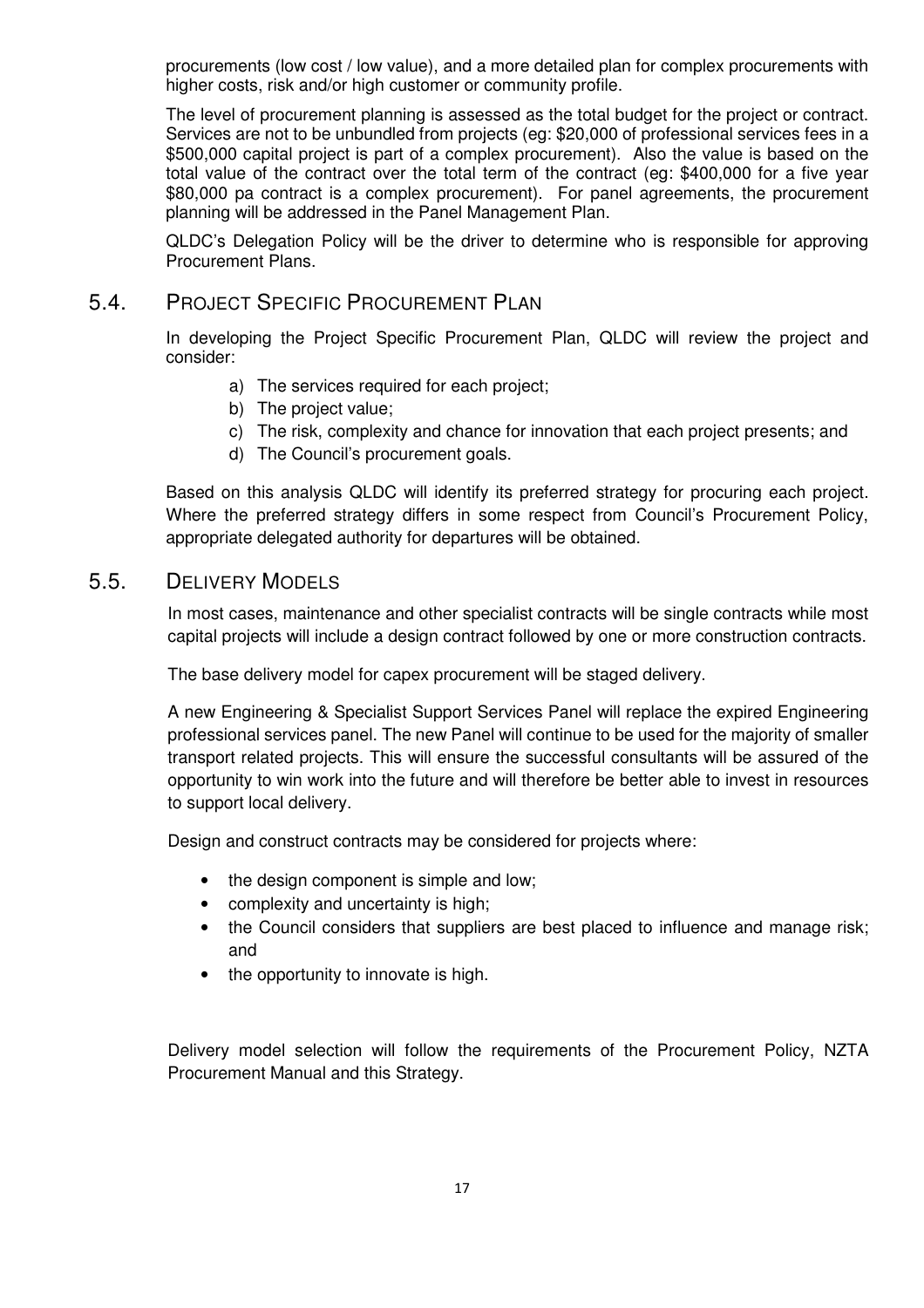procurements (low cost / low value), and a more detailed plan for complex procurements with higher costs, risk and/or high customer or community profile.

The level of procurement planning is assessed as the total budget for the project or contract. Services are not to be unbundled from projects (eg: \$20,000 of professional services fees in a \$500,000 capital project is part of a complex procurement). Also the value is based on the total value of the contract over the total term of the contract (eg: \$400,000 for a five year \$80,000 pa contract is a complex procurement). For panel agreements, the procurement planning will be addressed in the Panel Management Plan.

QLDC's Delegation Policy will be the driver to determine who is responsible for approving Procurement Plans.

#### 5.4. PROJECT SPECIFIC PROCUREMENT PLAN

In developing the Project Specific Procurement Plan, QLDC will review the project and consider:

- a) The services required for each project;
- b) The project value;
- c) The risk, complexity and chance for innovation that each project presents; and
- d) The Council's procurement goals.

Based on this analysis QLDC will identify its preferred strategy for procuring each project. Where the preferred strategy differs in some respect from Council's Procurement Policy, appropriate delegated authority for departures will be obtained.

#### 5.5. DELIVERY MODELS

In most cases, maintenance and other specialist contracts will be single contracts while most capital projects will include a design contract followed by one or more construction contracts.

The base delivery model for capex procurement will be staged delivery.

A new Engineering & Specialist Support Services Panel will replace the expired Engineering professional services panel. The new Panel will continue to be used for the majority of smaller transport related projects. This will ensure the successful consultants will be assured of the opportunity to win work into the future and will therefore be better able to invest in resources to support local delivery.

Design and construct contracts may be considered for projects where:

- the design component is simple and low;
- complexity and uncertainty is high;
- the Council considers that suppliers are best placed to influence and manage risk; and
- the opportunity to innovate is high.

Delivery model selection will follow the requirements of the Procurement Policy, NZTA Procurement Manual and this Strategy.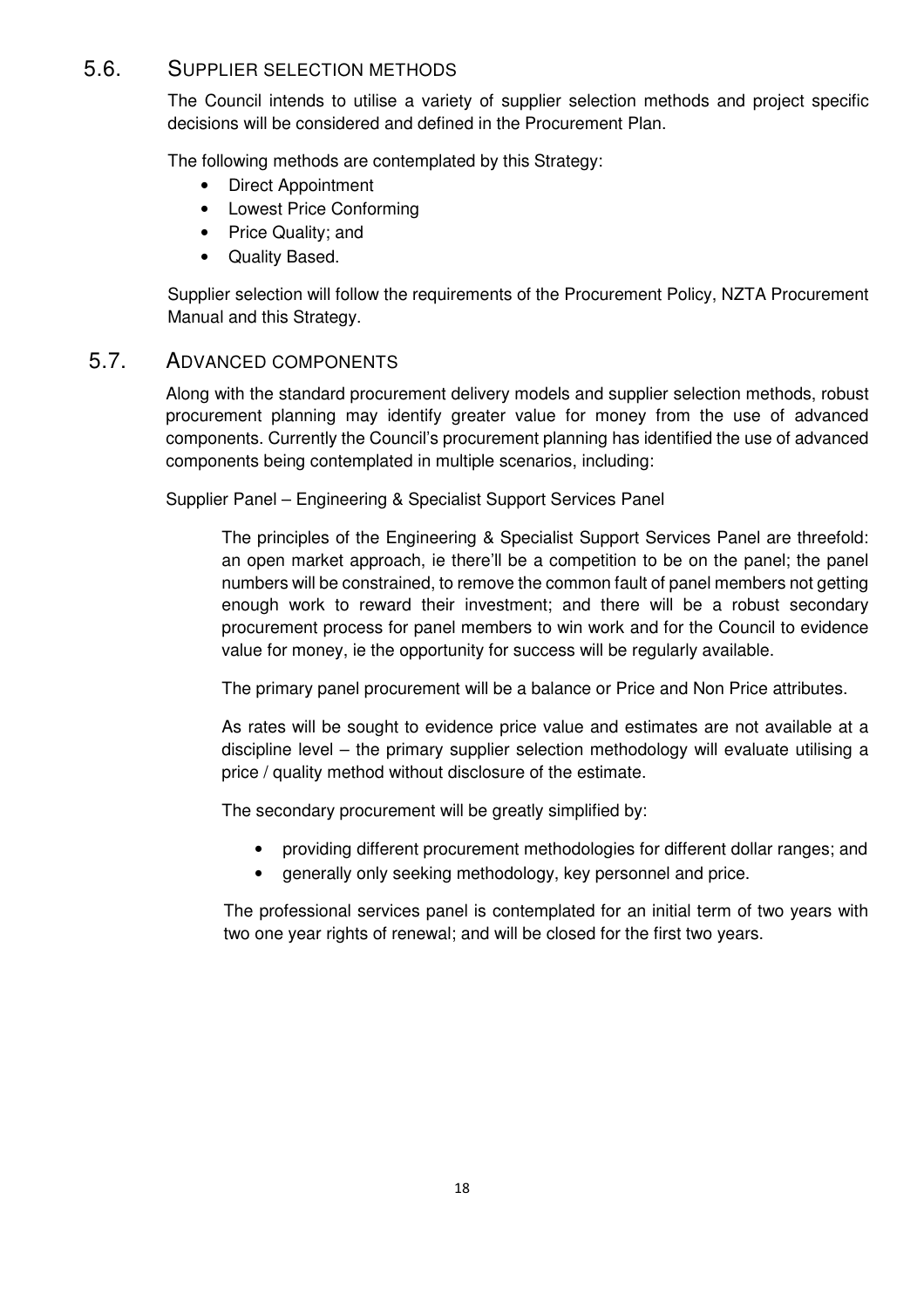#### 5.6. SUPPLIER SELECTION METHODS

The Council intends to utilise a variety of supplier selection methods and project specific decisions will be considered and defined in the Procurement Plan.

The following methods are contemplated by this Strategy:

- Direct Appointment
- Lowest Price Conforming
- Price Quality; and
- Quality Based.

Supplier selection will follow the requirements of the Procurement Policy, NZTA Procurement Manual and this Strategy.

#### 5.7. ADVANCED COMPONENTS

Along with the standard procurement delivery models and supplier selection methods, robust procurement planning may identify greater value for money from the use of advanced components. Currently the Council's procurement planning has identified the use of advanced components being contemplated in multiple scenarios, including:

Supplier Panel – Engineering & Specialist Support Services Panel

The principles of the Engineering & Specialist Support Services Panel are threefold: an open market approach, ie there'll be a competition to be on the panel; the panel numbers will be constrained, to remove the common fault of panel members not getting enough work to reward their investment; and there will be a robust secondary procurement process for panel members to win work and for the Council to evidence value for money, ie the opportunity for success will be regularly available.

The primary panel procurement will be a balance or Price and Non Price attributes.

As rates will be sought to evidence price value and estimates are not available at a discipline level – the primary supplier selection methodology will evaluate utilising a price / quality method without disclosure of the estimate.

The secondary procurement will be greatly simplified by:

- providing different procurement methodologies for different dollar ranges; and
- generally only seeking methodology, key personnel and price.

The professional services panel is contemplated for an initial term of two years with two one year rights of renewal; and will be closed for the first two years.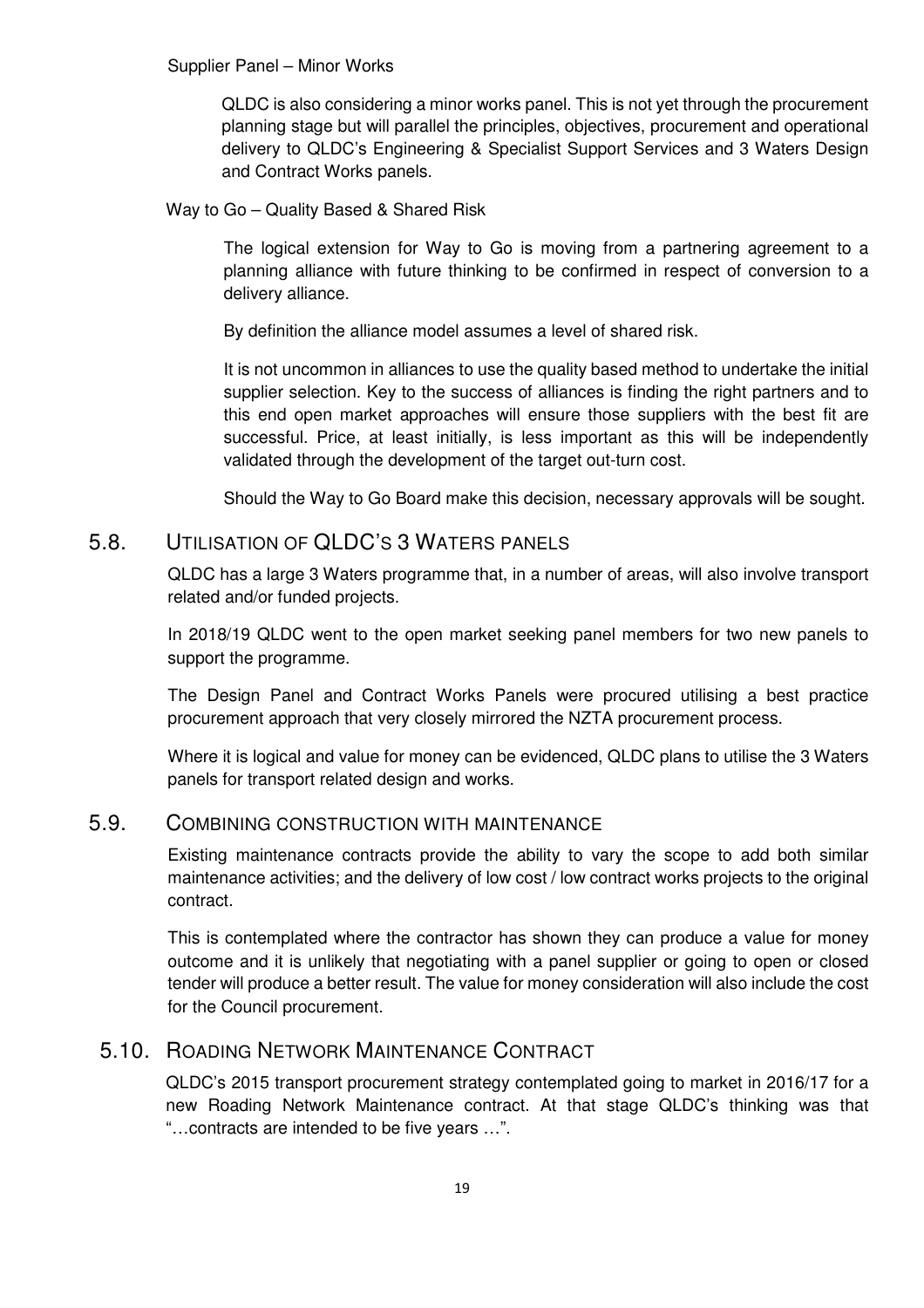QLDC is also considering a minor works panel. This is not yet through the procurement planning stage but will parallel the principles, objectives, procurement and operational delivery to QLDC's Engineering & Specialist Support Services and 3 Waters Design and Contract Works panels.

Way to Go – Quality Based & Shared Risk

The logical extension for Way to Go is moving from a partnering agreement to a planning alliance with future thinking to be confirmed in respect of conversion to a delivery alliance.

By definition the alliance model assumes a level of shared risk.

It is not uncommon in alliances to use the quality based method to undertake the initial supplier selection. Key to the success of alliances is finding the right partners and to this end open market approaches will ensure those suppliers with the best fit are successful. Price, at least initially, is less important as this will be independently validated through the development of the target out-turn cost.

Should the Way to Go Board make this decision, necessary approvals will be sought.

#### 5.8. UTILISATION OF QLDC'S 3 WATERS PANELS

QLDC has a large 3 Waters programme that, in a number of areas, will also involve transport related and/or funded projects.

In 2018/19 QLDC went to the open market seeking panel members for two new panels to support the programme.

The Design Panel and Contract Works Panels were procured utilising a best practice procurement approach that very closely mirrored the NZTA procurement process.

Where it is logical and value for money can be evidenced, QLDC plans to utilise the 3 Waters panels for transport related design and works.

#### 5.9. COMBINING CONSTRUCTION WITH MAINTENANCE

Existing maintenance contracts provide the ability to vary the scope to add both similar maintenance activities; and the delivery of low cost / low contract works projects to the original contract.

This is contemplated where the contractor has shown they can produce a value for money outcome and it is unlikely that negotiating with a panel supplier or going to open or closed tender will produce a better result. The value for money consideration will also include the cost for the Council procurement.

#### 5.10. ROADING NETWORK MAINTENANCE CONTRACT

QLDC's 2015 transport procurement strategy contemplated going to market in 2016/17 for a new Roading Network Maintenance contract. At that stage QLDC's thinking was that "…contracts are intended to be five years …".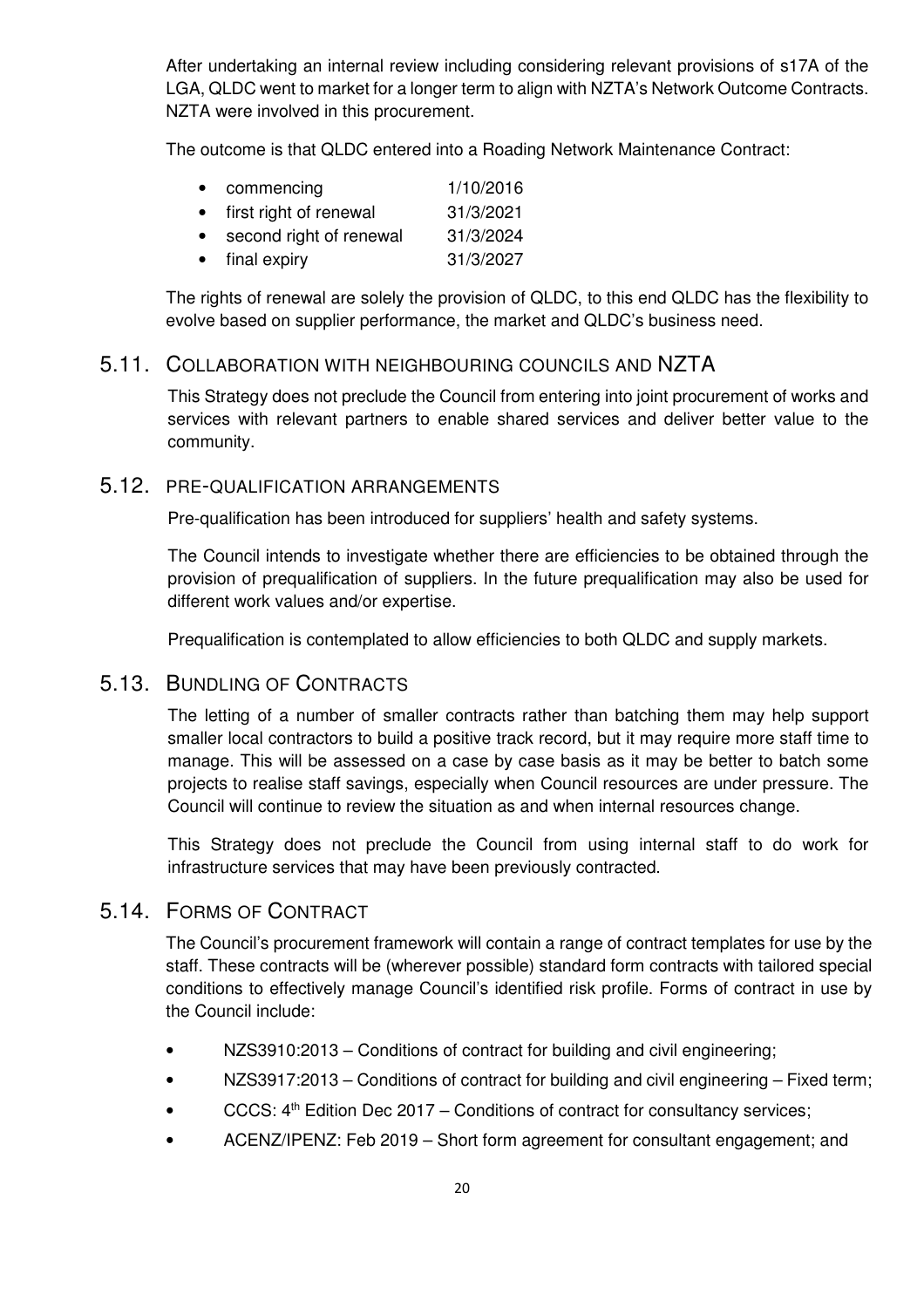After undertaking an internal review including considering relevant provisions of s17A of the LGA, QLDC went to market for a longer term to align with NZTA's Network Outcome Contracts. NZTA were involved in this procurement.

The outcome is that QLDC entered into a Roading Network Maintenance Contract:

| $\bullet$ | commencing              | 1/10/2016 |
|-----------|-------------------------|-----------|
| $\bullet$ | first right of renewal  | 31/3/2021 |
| $\bullet$ | second right of renewal | 31/3/2024 |
| $\bullet$ | final expiry            | 31/3/2027 |

The rights of renewal are solely the provision of QLDC, to this end QLDC has the flexibility to evolve based on supplier performance, the market and QLDC's business need.

#### 5.11. COLLABORATION WITH NEIGHBOURING COUNCILS AND NZTA

This Strategy does not preclude the Council from entering into joint procurement of works and services with relevant partners to enable shared services and deliver better value to the community.

#### 5.12. PRE-QUALIFICATION ARRANGEMENTS

Pre-qualification has been introduced for suppliers' health and safety systems.

The Council intends to investigate whether there are efficiencies to be obtained through the provision of prequalification of suppliers. In the future prequalification may also be used for different work values and/or expertise.

Prequalification is contemplated to allow efficiencies to both QLDC and supply markets.

#### 5.13. BUNDLING OF CONTRACTS

The letting of a number of smaller contracts rather than batching them may help support smaller local contractors to build a positive track record, but it may require more staff time to manage. This will be assessed on a case by case basis as it may be better to batch some projects to realise staff savings, especially when Council resources are under pressure. The Council will continue to review the situation as and when internal resources change.

This Strategy does not preclude the Council from using internal staff to do work for infrastructure services that may have been previously contracted.

#### 5.14. FORMS OF CONTRACT

The Council's procurement framework will contain a range of contract templates for use by the staff. These contracts will be (wherever possible) standard form contracts with tailored special conditions to effectively manage Council's identified risk profile. Forms of contract in use by the Council include:

- NZS3910:2013 Conditions of contract for building and civil engineering;
- NZS3917:2013 Conditions of contract for building and civil engineering Fixed term;
- CCCS:  $4^{\text{th}}$  Edition Dec 2017 Conditions of contract for consultancy services;
- ACENZ/IPENZ: Feb 2019 Short form agreement for consultant engagement; and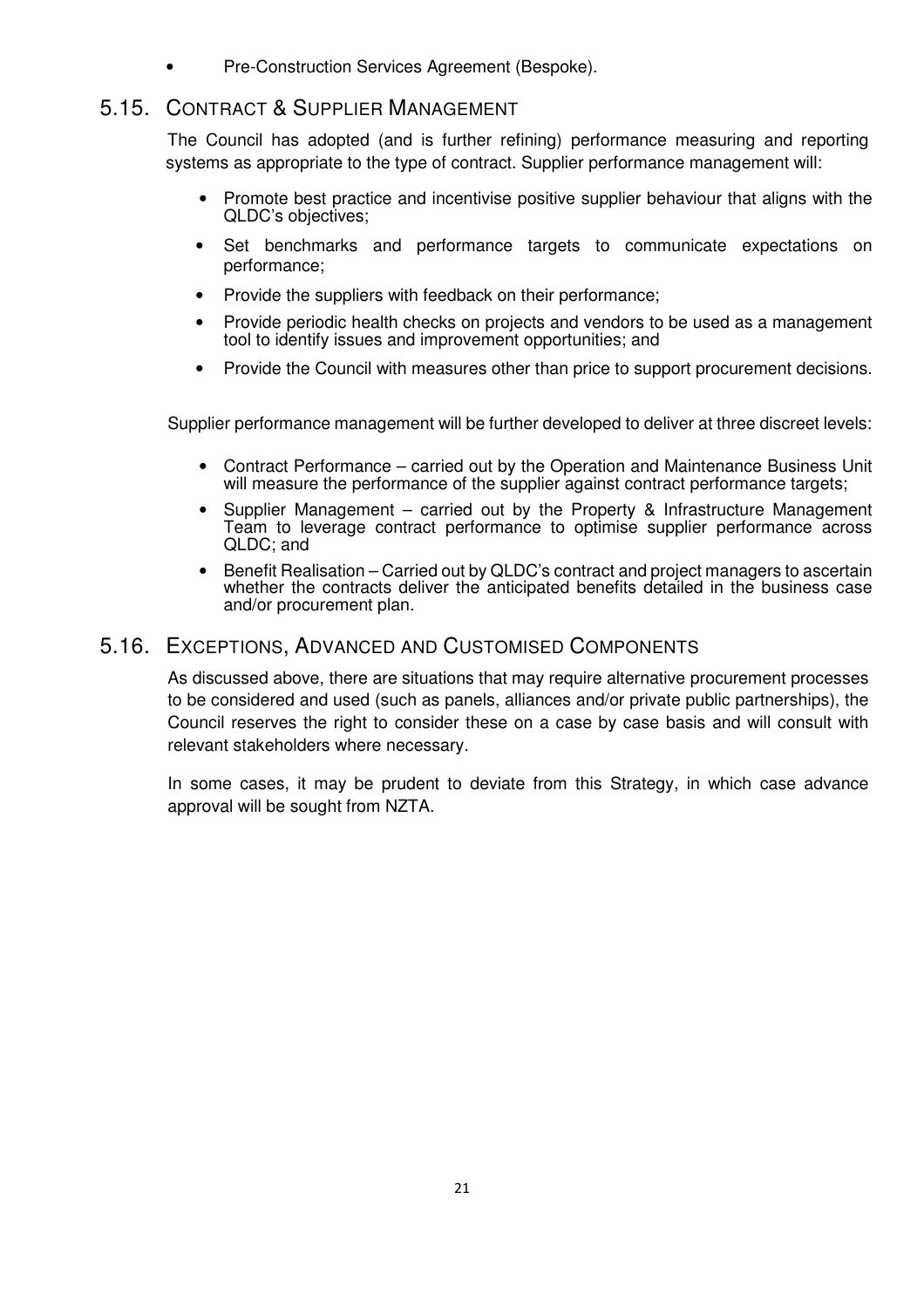• Pre-Construction Services Agreement (Bespoke).

#### 5.15. CONTRACT & SUPPLIER MANAGEMENT

The Council has adopted (and is further refining) performance measuring and reporting systems as appropriate to the type of contract. Supplier performance management will:

- Promote best practice and incentivise positive supplier behaviour that aligns with the QLDC's objectives;
- Set benchmarks and performance targets to communicate expectations on performance;
- Provide the suppliers with feedback on their performance;
- Provide periodic health checks on projects and vendors to be used as a management tool to identify issues and improvement opportunities; and
- Provide the Council with measures other than price to support procurement decisions.

Supplier performance management will be further developed to deliver at three discreet levels:

- Contract Performance carried out by the Operation and Maintenance Business Unit will measure the performance of the supplier against contract performance targets;
- Supplier Management carried out by the Property & Infrastructure Management Team to leverage contract performance to optimise supplier performance across QLDC; and
- Benefit Realisation Carried out by QLDC's contract and project managers to ascertain whether the contracts deliver the anticipated benefits detailed in the business case and/or procurement plan.

#### 5.16. EXCEPTIONS, ADVANCED AND CUSTOMISED COMPONENTS

As discussed above, there are situations that may require alternative procurement processes to be considered and used (such as panels, alliances and/or private public partnerships), the Council reserves the right to consider these on a case by case basis and will consult with relevant stakeholders where necessary.

In some cases, it may be prudent to deviate from this Strategy, in which case advance approval will be sought from NZTA.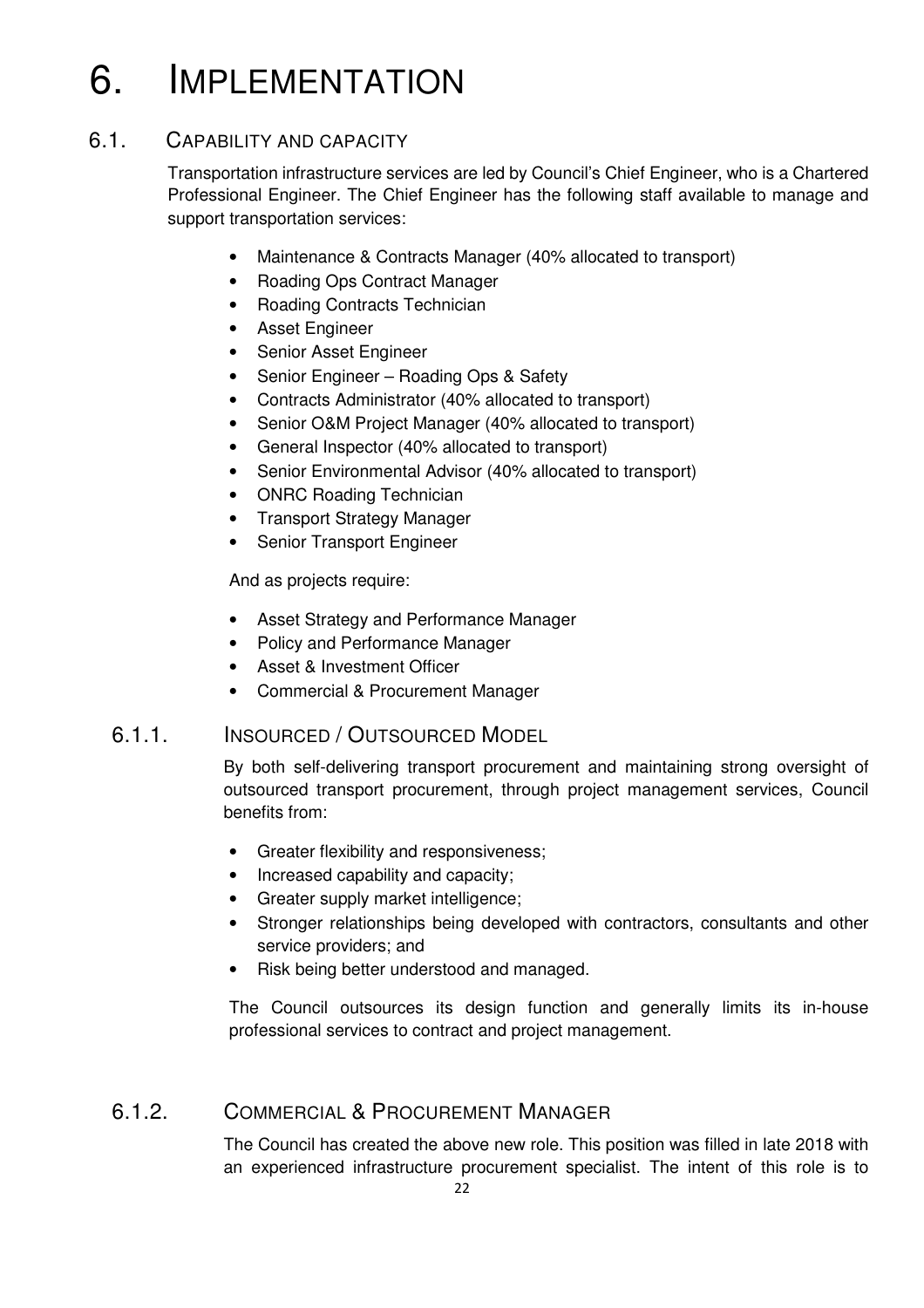## 6. IMPLEMENTATION

#### 6.1. CAPABILITY AND CAPACITY

Transportation infrastructure services are led by Council's Chief Engineer, who is a Chartered Professional Engineer. The Chief Engineer has the following staff available to manage and support transportation services:

- Maintenance & Contracts Manager (40% allocated to transport)
- Roading Ops Contract Manager
- Roading Contracts Technician
- Asset Engineer
- Senior Asset Engineer
- Senior Engineer Roading Ops & Safety
- Contracts Administrator (40% allocated to transport)
- Senior O&M Project Manager (40% allocated to transport)
- General Inspector (40% allocated to transport)
- Senior Environmental Advisor (40% allocated to transport)
- ONRC Roading Technician
- Transport Strategy Manager
- Senior Transport Engineer

And as projects require:

- Asset Strategy and Performance Manager
- Policy and Performance Manager
- Asset & Investment Officer
- Commercial & Procurement Manager

#### 6.1.1. INSOURCED / OUTSOURCED MODEL

By both self-delivering transport procurement and maintaining strong oversight of outsourced transport procurement, through project management services, Council benefits from:

- Greater flexibility and responsiveness;
- Increased capability and capacity;
- Greater supply market intelligence;
- Stronger relationships being developed with contractors, consultants and other service providers; and
- Risk being better understood and managed.

The Council outsources its design function and generally limits its in-house professional services to contract and project management.

#### 6.1.2. COMMERCIAL & PROCUREMENT MANAGER

The Council has created the above new role. This position was filled in late 2018 with an experienced infrastructure procurement specialist. The intent of this role is to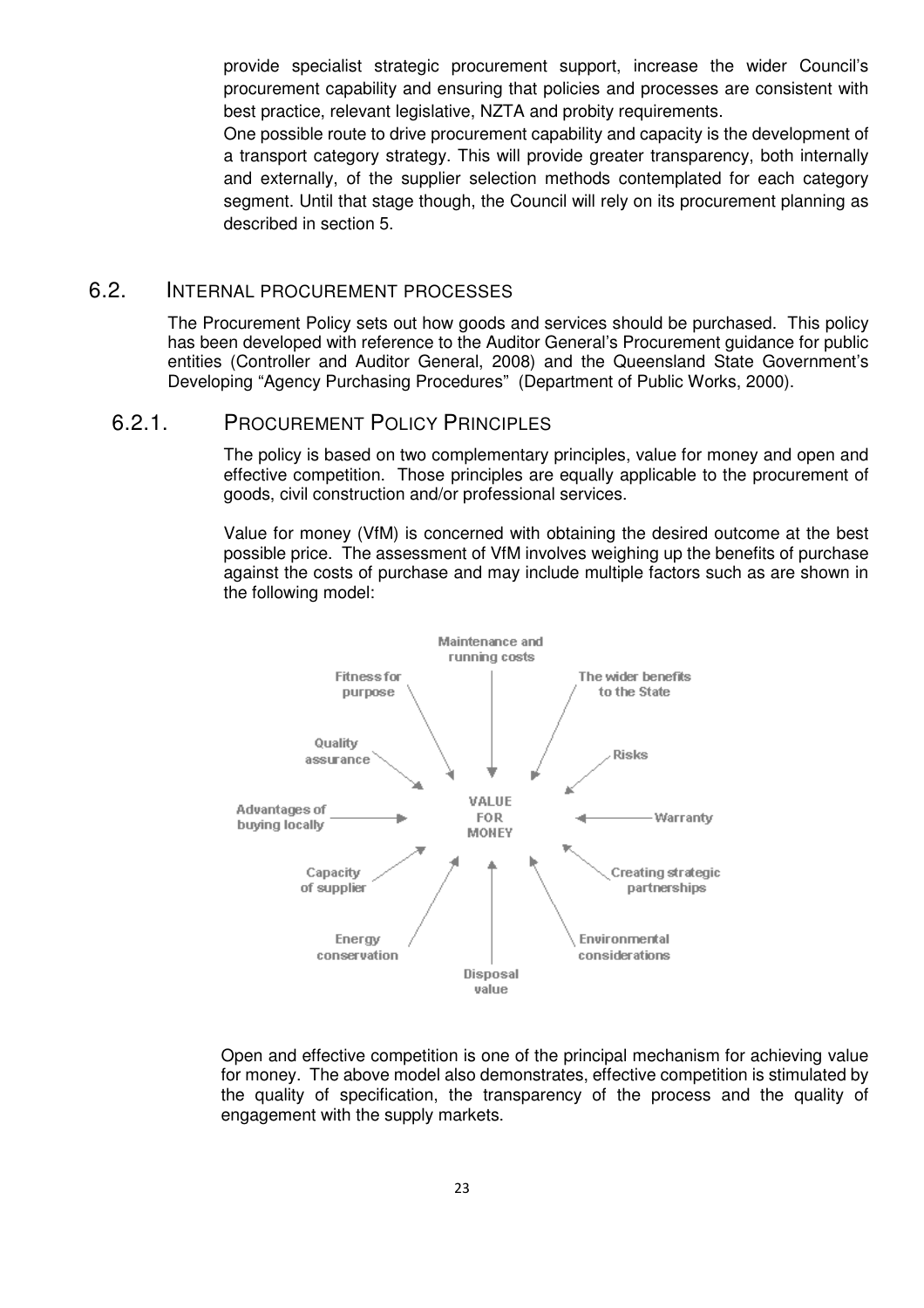provide specialist strategic procurement support, increase the wider Council's procurement capability and ensuring that policies and processes are consistent with best practice, relevant legislative, NZTA and probity requirements.

One possible route to drive procurement capability and capacity is the development of a transport category strategy. This will provide greater transparency, both internally and externally, of the supplier selection methods contemplated for each category segment. Until that stage though, the Council will rely on its procurement planning as described in section 5.

#### 6.2. INTERNAL PROCUREMENT PROCESSES

The Procurement Policy sets out how goods and services should be purchased. This policy has been developed with reference to the Auditor General's Procurement guidance for public entities (Controller and Auditor General, 2008) and the Queensland State Government's Developing "Agency Purchasing Procedures" (Department of Public Works, 2000).

#### 6.2.1. PROCUREMENT POLICY PRINCIPLES

The policy is based on two complementary principles, value for money and open and effective competition. Those principles are equally applicable to the procurement of goods, civil construction and/or professional services.

Value for money (VfM) is concerned with obtaining the desired outcome at the best possible price. The assessment of VfM involves weighing up the benefits of purchase against the costs of purchase and may include multiple factors such as are shown in the following model:



Open and effective competition is one of the principal mechanism for achieving value for money. The above model also demonstrates, effective competition is stimulated by the quality of specification, the transparency of the process and the quality of engagement with the supply markets.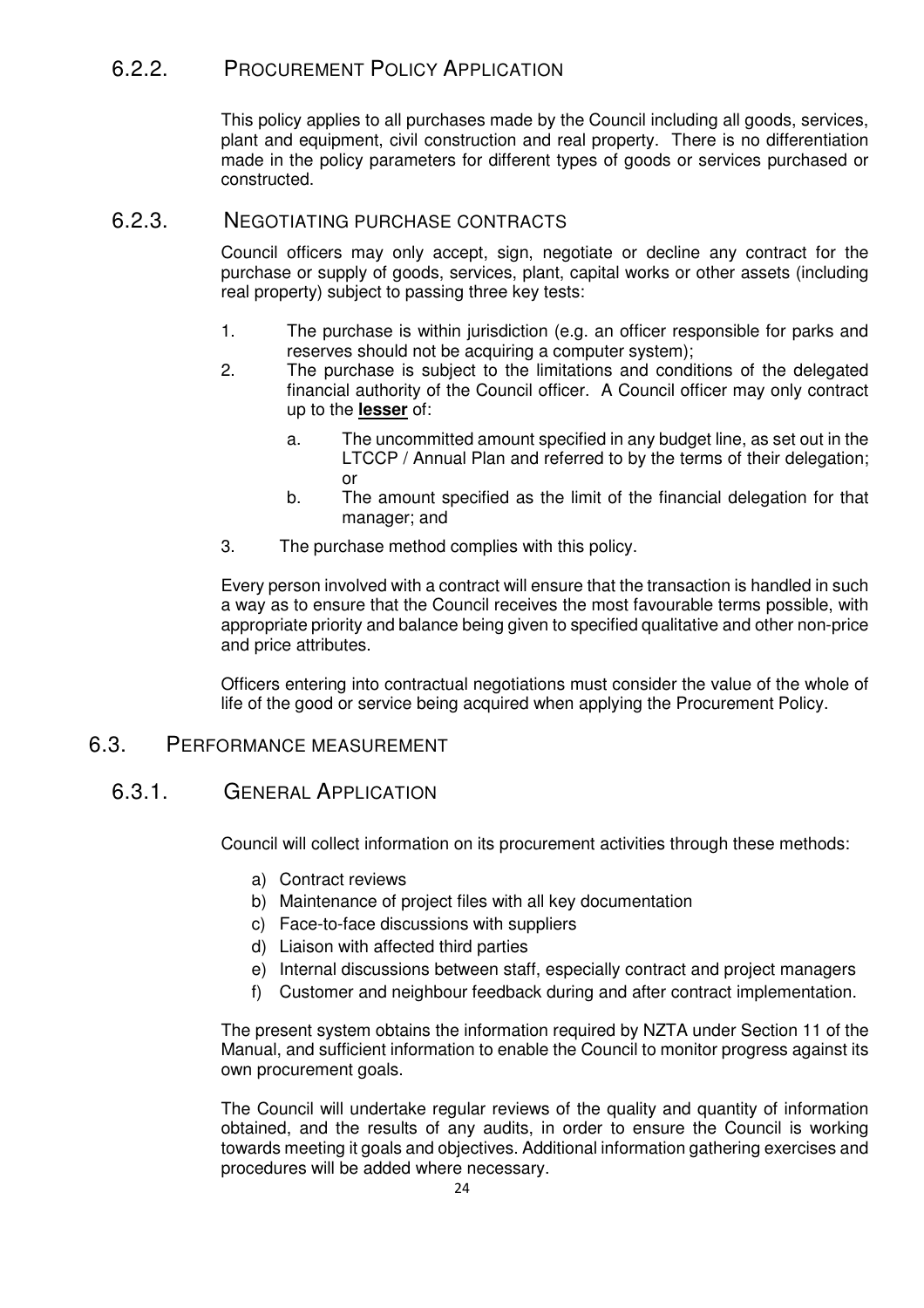#### 6.2.2. PROCUREMENT POLICY APPLICATION

This policy applies to all purchases made by the Council including all goods, services, plant and equipment, civil construction and real property. There is no differentiation made in the policy parameters for different types of goods or services purchased or constructed.

#### 6.2.3. NEGOTIATING PURCHASE CONTRACTS

Council officers may only accept, sign, negotiate or decline any contract for the purchase or supply of goods, services, plant, capital works or other assets (including real property) subject to passing three key tests:

- 1. The purchase is within jurisdiction (e.g. an officer responsible for parks and reserves should not be acquiring a computer system);
- 2. The purchase is subject to the limitations and conditions of the delegated financial authority of the Council officer. A Council officer may only contract up to the **lesser** of:
	- a. The uncommitted amount specified in any budget line, as set out in the LTCCP / Annual Plan and referred to by the terms of their delegation; or
	- b. The amount specified as the limit of the financial delegation for that manager; and
- 3. The purchase method complies with this policy.

Every person involved with a contract will ensure that the transaction is handled in such a way as to ensure that the Council receives the most favourable terms possible, with appropriate priority and balance being given to specified qualitative and other non-price and price attributes.

Officers entering into contractual negotiations must consider the value of the whole of life of the good or service being acquired when applying the Procurement Policy.

#### 6.3. PERFORMANCE MEASUREMENT

#### 6.3.1. GENERAL APPLICATION

Council will collect information on its procurement activities through these methods:

- a) Contract reviews
- b) Maintenance of project files with all key documentation
- c) Face-to-face discussions with suppliers
- d) Liaison with affected third parties
- e) Internal discussions between staff, especially contract and project managers
- f) Customer and neighbour feedback during and after contract implementation.

The present system obtains the information required by NZTA under Section 11 of the Manual, and sufficient information to enable the Council to monitor progress against its own procurement goals.

The Council will undertake regular reviews of the quality and quantity of information obtained, and the results of any audits, in order to ensure the Council is working towards meeting it goals and objectives. Additional information gathering exercises and procedures will be added where necessary.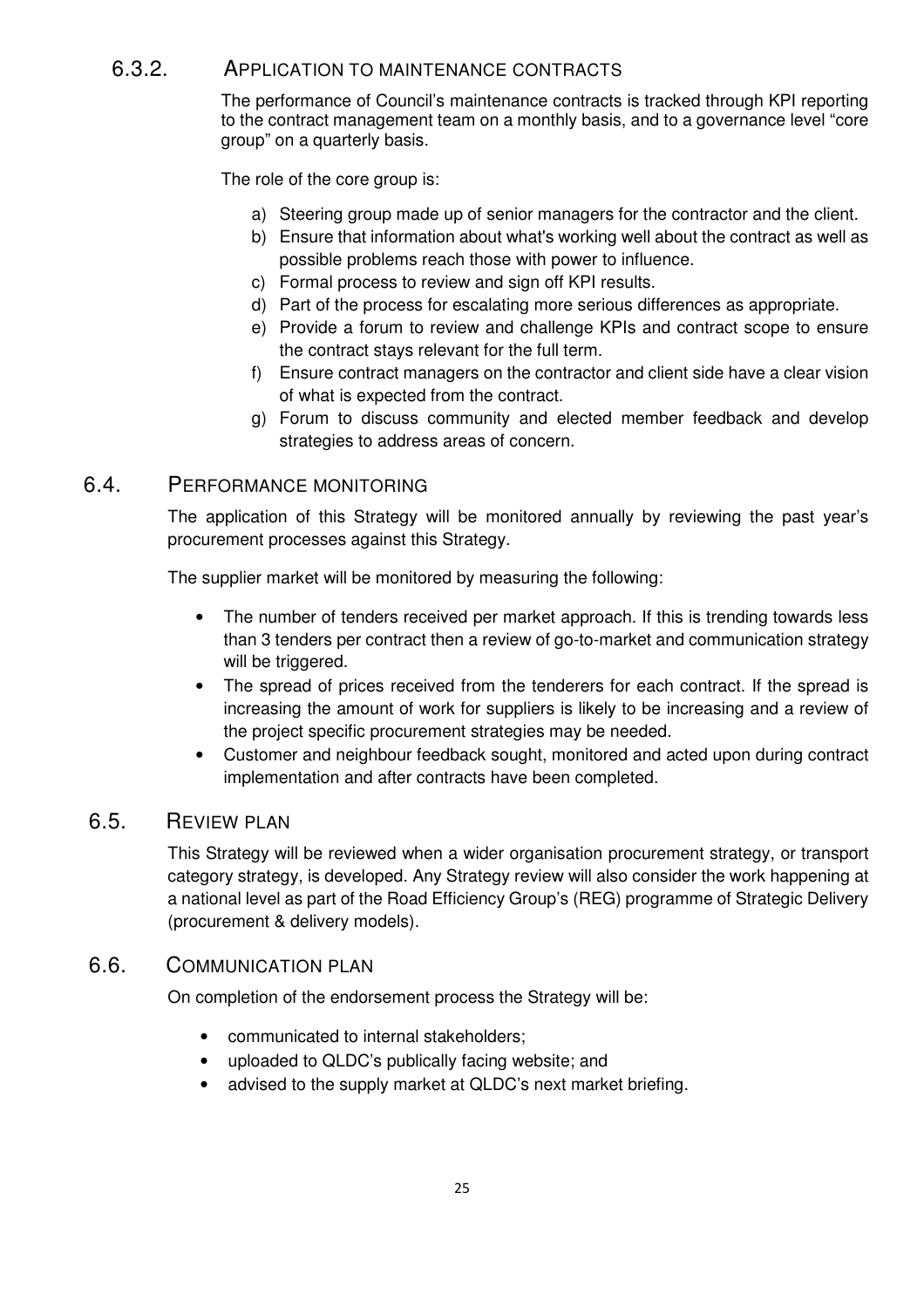#### 6.3.2. APPLICATION TO MAINTENANCE CONTRACTS

The performance of Council's maintenance contracts is tracked through KPI reporting to the contract management team on a monthly basis, and to a governance level "core group" on a quarterly basis.

The role of the core group is:

- a) Steering group made up of senior managers for the contractor and the client.
- b) Ensure that information about what's working well about the contract as well as possible problems reach those with power to influence.
- c) Formal process to review and sign off KPI results.
- d) Part of the process for escalating more serious differences as appropriate.
- e) Provide a forum to review and challenge KPIs and contract scope to ensure the contract stays relevant for the full term.
- f) Ensure contract managers on the contractor and client side have a clear vision of what is expected from the contract.
- g) Forum to discuss community and elected member feedback and develop strategies to address areas of concern.

#### 6.4. PERFORMANCE MONITORING

The application of this Strategy will be monitored annually by reviewing the past year's procurement processes against this Strategy.

The supplier market will be monitored by measuring the following:

- The number of tenders received per market approach. If this is trending towards less than 3 tenders per contract then a review of go-to-market and communication strategy will be triggered.
- The spread of prices received from the tenderers for each contract. If the spread is increasing the amount of work for suppliers is likely to be increasing and a review of the project specific procurement strategies may be needed.
- Customer and neighbour feedback sought, monitored and acted upon during contract implementation and after contracts have been completed.

#### 6.5. REVIEW PLAN

This Strategy will be reviewed when a wider organisation procurement strategy, or transport category strategy, is developed. Any Strategy review will also consider the work happening at a national level as part of the Road Efficiency Group's (REG) programme of Strategic Delivery (procurement & delivery models).

#### 6.6. COMMUNICATION PLAN

On completion of the endorsement process the Strategy will be:

- communicated to internal stakeholders;
- uploaded to QLDC's publically facing website; and
- advised to the supply market at QLDC's next market briefing.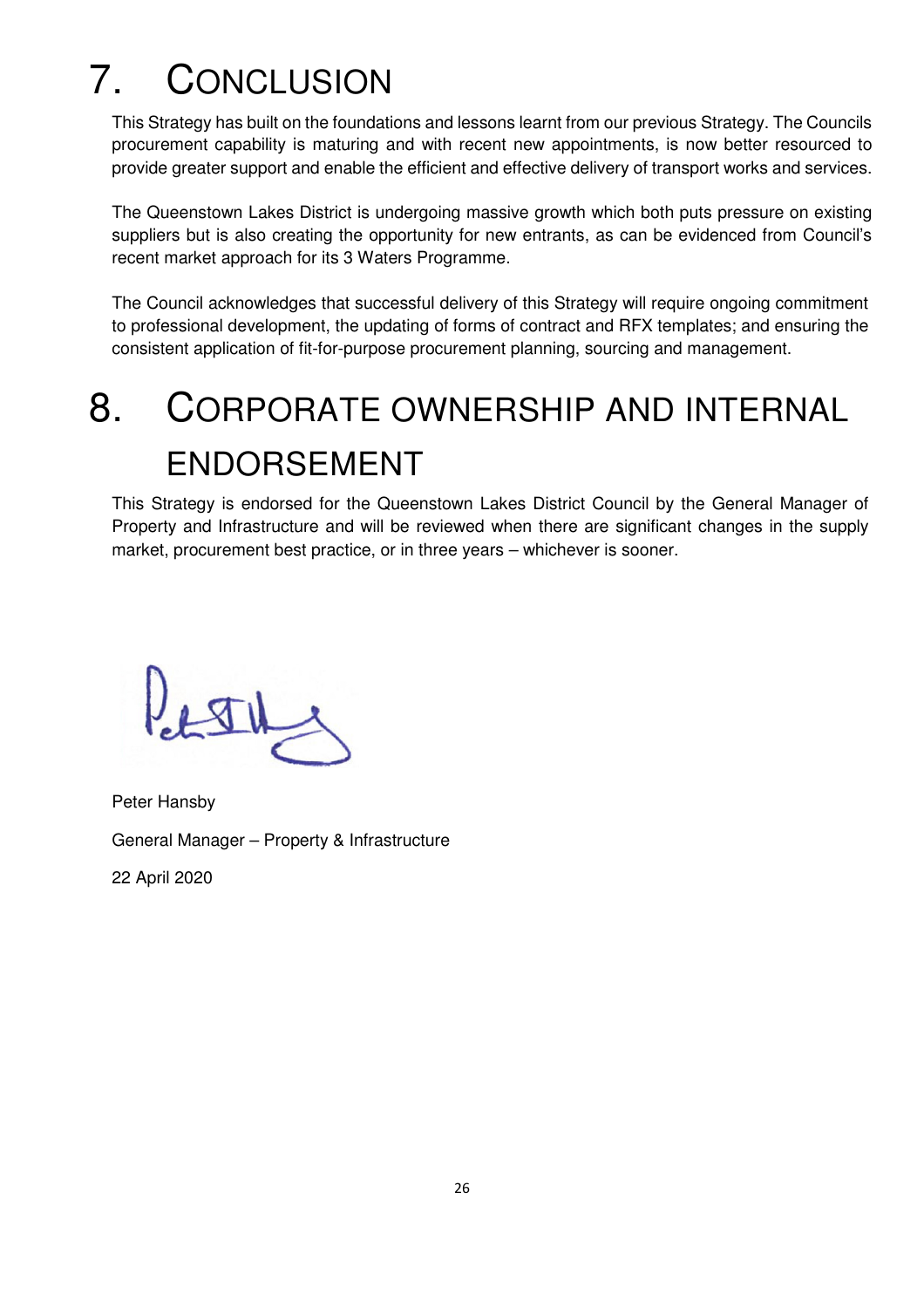## 7. CONCLUSION

This Strategy has built on the foundations and lessons learnt from our previous Strategy. The Councils procurement capability is maturing and with recent new appointments, is now better resourced to provide greater support and enable the efficient and effective delivery of transport works and services.

The Queenstown Lakes District is undergoing massive growth which both puts pressure on existing suppliers but is also creating the opportunity for new entrants, as can be evidenced from Council's recent market approach for its 3 Waters Programme.

The Council acknowledges that successful delivery of this Strategy will require ongoing commitment to professional development, the updating of forms of contract and RFX templates; and ensuring the consistent application of fit-for-purpose procurement planning, sourcing and management.

## 8. CORPORATE OWNERSHIP AND INTERNAL ENDORSEMENT

This Strategy is endorsed for the Queenstown Lakes District Council by the General Manager of Property and Infrastructure and will be reviewed when there are significant changes in the supply market, procurement best practice, or in three years – whichever is sooner.

 $LTL$ 

 Peter Hansby General Manager – Property & Infrastructure

22 April 2020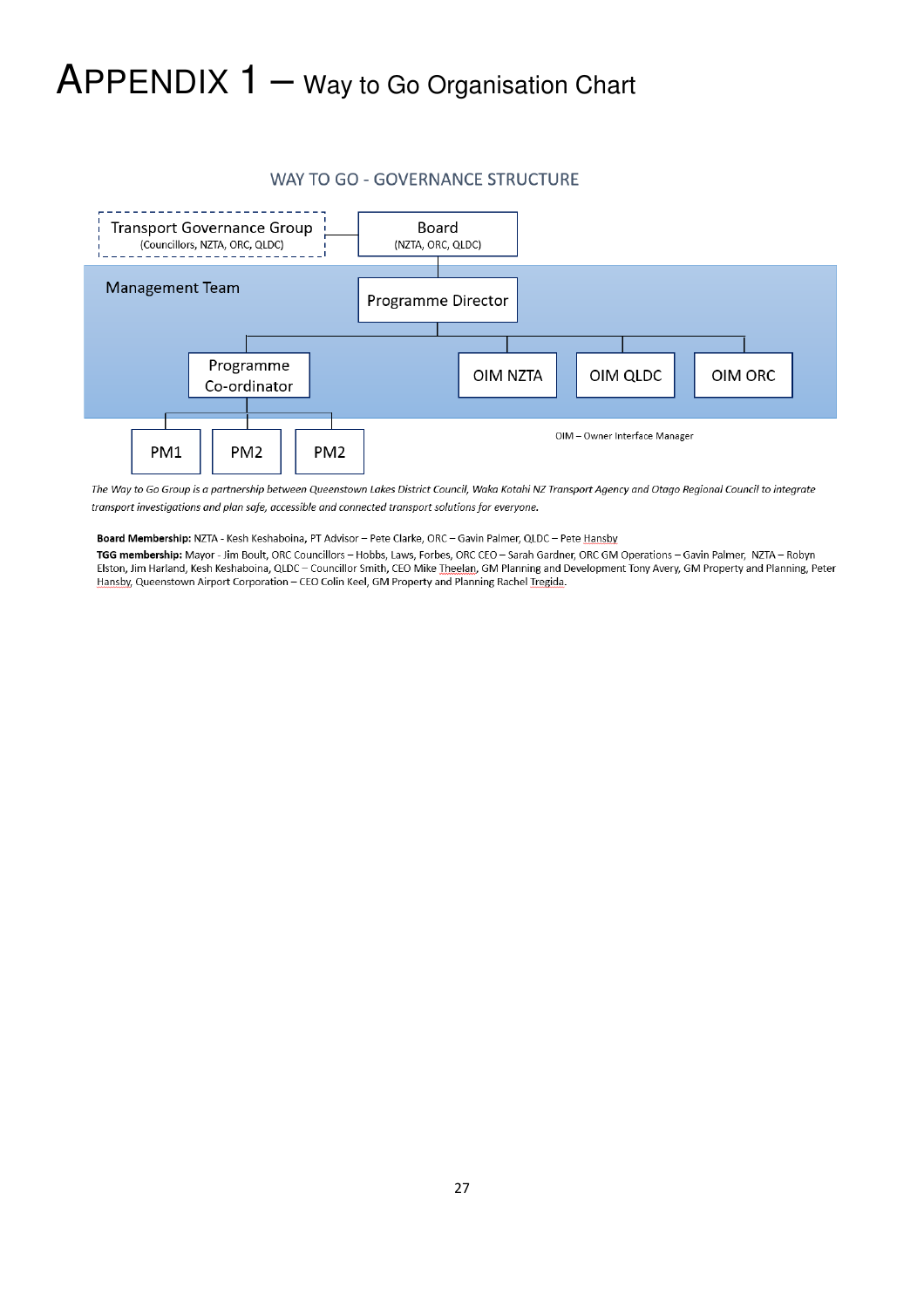### APPENDIX 1 – Way to Go Organisation Chart



#### WAY TO GO - GOVERNANCE STRUCTURE

The Way to Go Group is a partnership between Queenstown Lakes District Council, Waka Kotahi NZ Transport Agency and Otago Regional Council to integrate transport investigations and plan safe, accessible and connected transport solutions for everyone.

Board Membership: NZTA - Kesh Keshaboina, PT Advisor - Pete Clarke, ORC - Gavin Palmer, QLDC - Pete Hansby

TGG membership: Mayor - Jim Boult, ORC Councillors - Hobbs, Laws, Forbes, ORC CEO - Sarah Gardner, ORC GM Operations - Gavin Palmer, NZTA - Robyn Elston, Jim Harland, Kesh Keshaboina, QLDC - Councillor Smith, CEO Mike Theelan, GM Planning and Development Tony Avery, GM Property and Planning, Peter Hansby, Queenstown Airport Corporation - CEO Colin Keel, GM Property and Planning Rachel Tregida.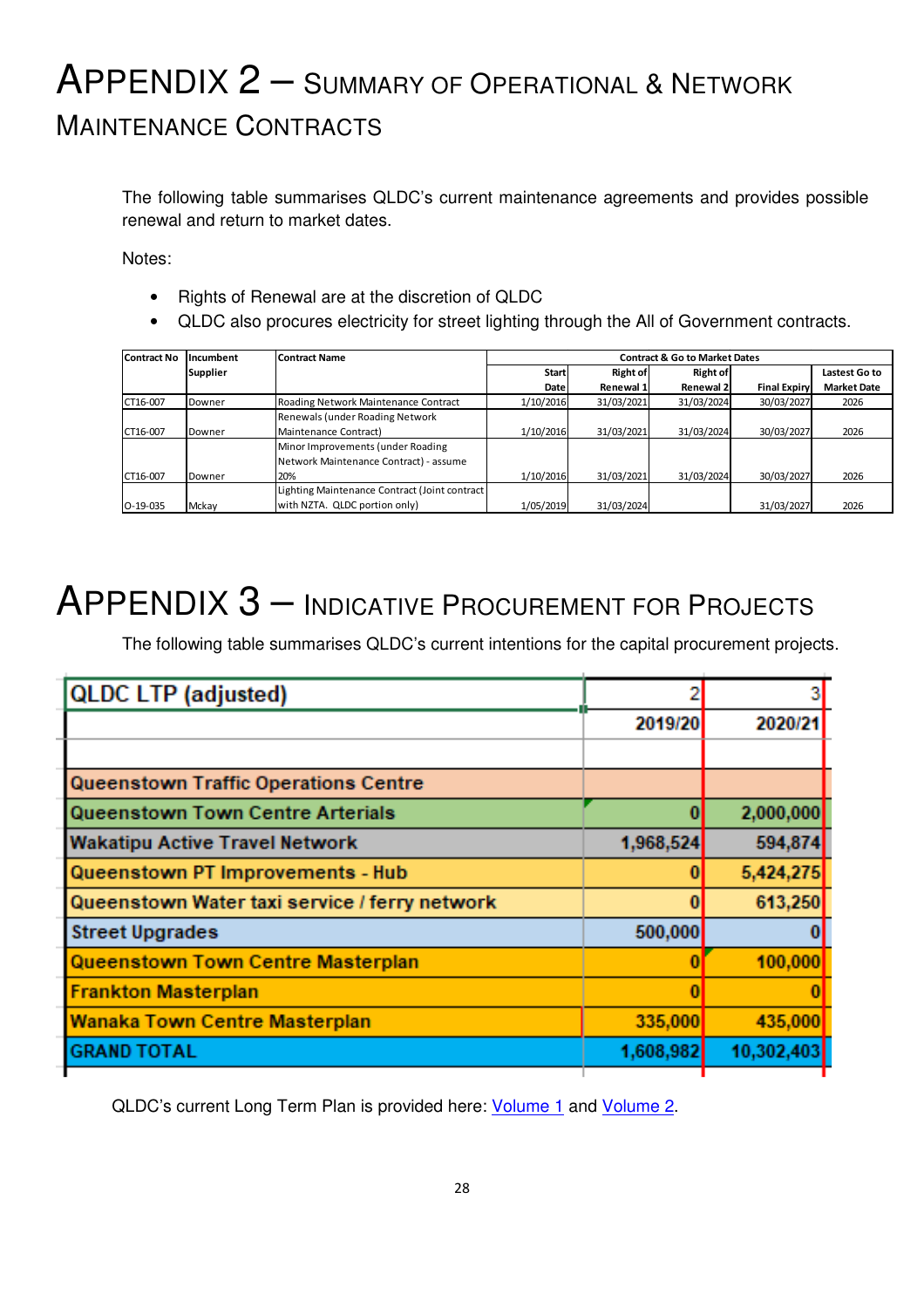### APPENDIX 2 – <sup>S</sup>UMMARY OF OPERATIONAL & <sup>N</sup>ETWORK MAINTENANCE CONTRACTS

The following table summarises QLDC's current maintenance agreements and provides possible renewal and return to market dates.

Notes:

- Rights of Renewal are at the discretion of QLDC
- QLDC also procures electricity for street lighting through the All of Government contracts.

| Contract No<br><b>Incumbent</b><br><b>Contract Name</b> |                | <b>Contract &amp; Go to Market Dates</b>      |             |            |                 |                     |                    |
|---------------------------------------------------------|----------------|-----------------------------------------------|-------------|------------|-----------------|---------------------|--------------------|
|                                                         | Supplier       |                                               | Start       | Right of   | <b>Right of</b> |                     | Lastest Go to      |
|                                                         |                |                                               | <b>Date</b> | Renewal 1l | Renewal 2       | <b>Final Expiry</b> | <b>Market Date</b> |
| CT16-007                                                | Downer         | Roading Network Maintenance Contract          | 1/10/2016   | 31/03/2021 | 31/03/2024      | 30/03/2027          | 2026               |
|                                                         |                | Renewals (under Roading Network               |             |            |                 |                     |                    |
| CT16-007                                                | <b>IDowner</b> | Maintenance Contract)                         | 1/10/2016   | 31/03/2021 | 31/03/2024      | 30/03/2027          | 2026               |
|                                                         |                | Minor Improvements (under Roading             |             |            |                 |                     |                    |
|                                                         |                | Network Maintenance Contract) - assume        |             |            |                 |                     |                    |
| CT16-007                                                | Downer         | 20%                                           | 1/10/2016   | 31/03/2021 | 31/03/2024      | 30/03/2027          | 2026               |
|                                                         |                | Lighting Maintenance Contract (Joint contract |             |            |                 |                     |                    |
| $O-19-035$                                              | Mckay          | with NZTA. QLDC portion only)                 | 1/05/2019   | 31/03/2024 |                 | 31/03/2027          | 2026               |

### APPENDIX 3 – <sup>I</sup>NDICATIVE PROCUREMENT FOR PROJECTS

The following table summarises QLDC's current intentions for the capital procurement projects.

| <b>QLDC LTP (adjusted)</b>                    |           | 3          |  |
|-----------------------------------------------|-----------|------------|--|
|                                               | 2019/20   | 2020/21    |  |
|                                               |           |            |  |
| <b>Queenstown Traffic Operations Centre</b>   |           |            |  |
| Queenstown Town Centre Arterials              | Ü         | 2,000,000  |  |
| <b>Wakatipu Active Travel Network</b>         | 1,968,524 | 594,874    |  |
| Queenstown PT Improvements - Hub              | 0         | 5,424,275  |  |
| Queenstown Water taxi service / ferry network | 0         | 613,250    |  |
| <b>Street Upgrades</b>                        | 500,000   |            |  |
| <b>Queenstown Town Centre Masterplan</b>      |           | 100,000    |  |
| <b>Frankton Masterplan</b>                    |           |            |  |
| <b>Wanaka Town Centre Masterplan</b>          | 335,000   | 435,000    |  |
| <b>GRAND TOTAL</b>                            | 1,608,982 | 10,302,403 |  |
|                                               |           |            |  |

QLDC's current Long Term Plan is provided here: Volume 1 and Volume 2.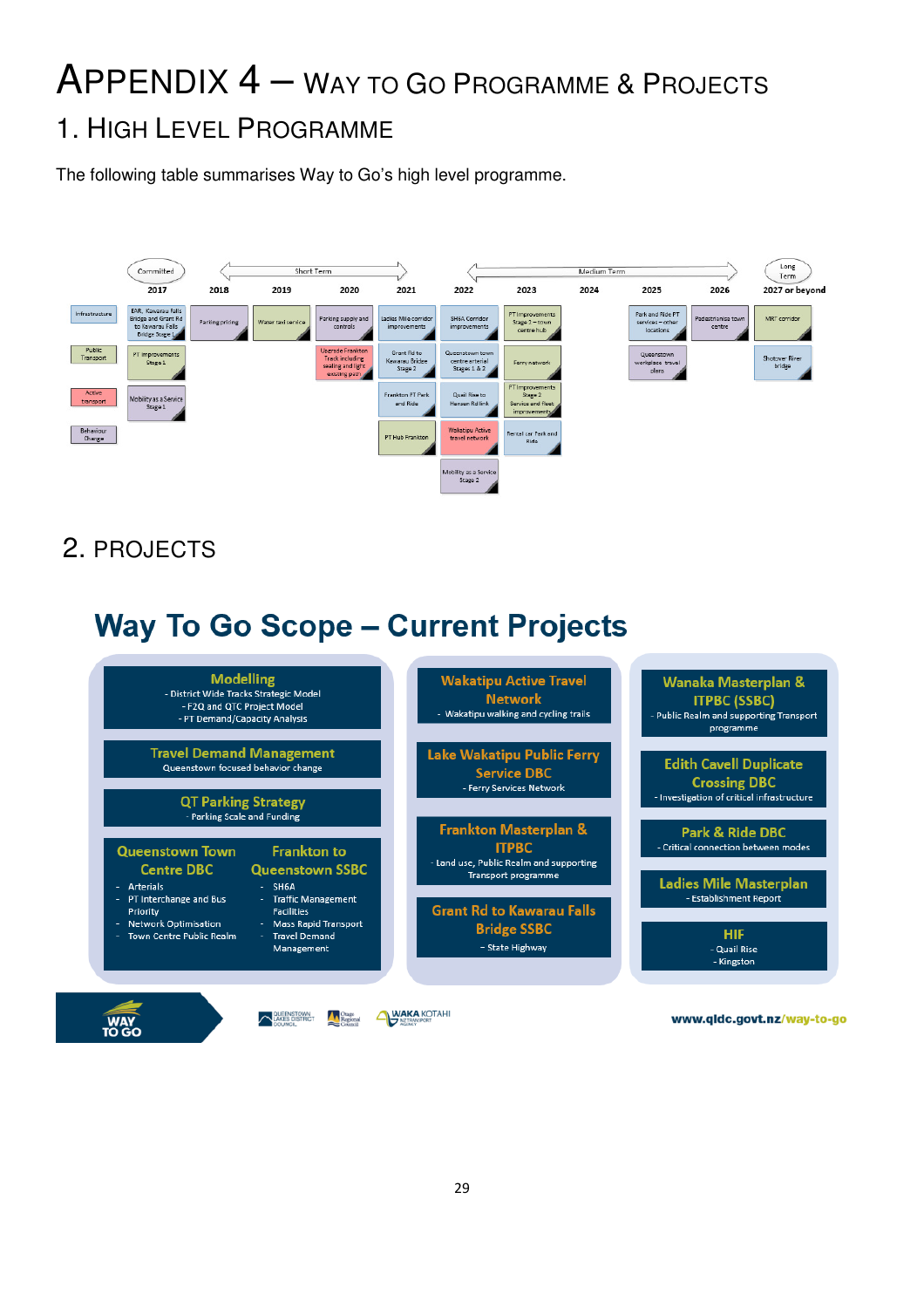## APPENDIX 4 – <sup>W</sup>AY TO GO PROGRAMME & <sup>P</sup>ROJECTS

#### 1. HIGH LEVEL PROGRAMME

The following table summarises Way to Go's high level programme.



2. PROJECTS

### **Way To Go Scope - Current Projects**